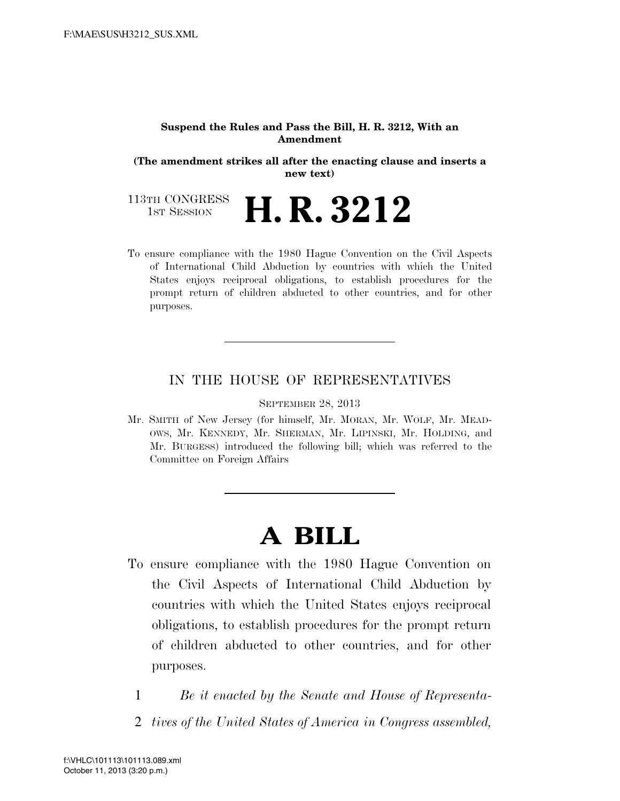#### **Suspend the Rules and Pass the Bill, H. R. 3212, With an Amendment**

**(The amendment strikes all after the enacting clause and inserts a new text)** 

113TH CONGRESS<br>1st Session 1ST SESSION **H. R. 3212** 

To ensure compliance with the 1980 Hague Convention on the Civil Aspects of International Child Abduction by countries with which the United States enjoys reciprocal obligations, to establish procedures for the prompt return of children abducted to other countries, and for other purposes.

# IN THE HOUSE OF REPRESENTATIVES

SEPTEMBER 28, 2013

Mr. SMITH of New Jersey (for himself, Mr. MORAN, Mr. WOLF, Mr. MEAD-OWS, Mr. KENNEDY, Mr. SHERMAN, Mr. LIPINSKI, Mr. HOLDING, and Mr. BURGESS) introduced the following bill; which was referred to the Committee on Foreign Affairs

# **A BILL**

- To ensure compliance with the 1980 Hague Convention on the Civil Aspects of International Child Abduction by countries with which the United States enjoys reciprocal obligations, to establish procedures for the prompt return of children abducted to other countries, and for other purposes.
	- 1 *Be it enacted by the Senate and House of Representa-*
	- 2 *tives of the United States of America in Congress assembled,*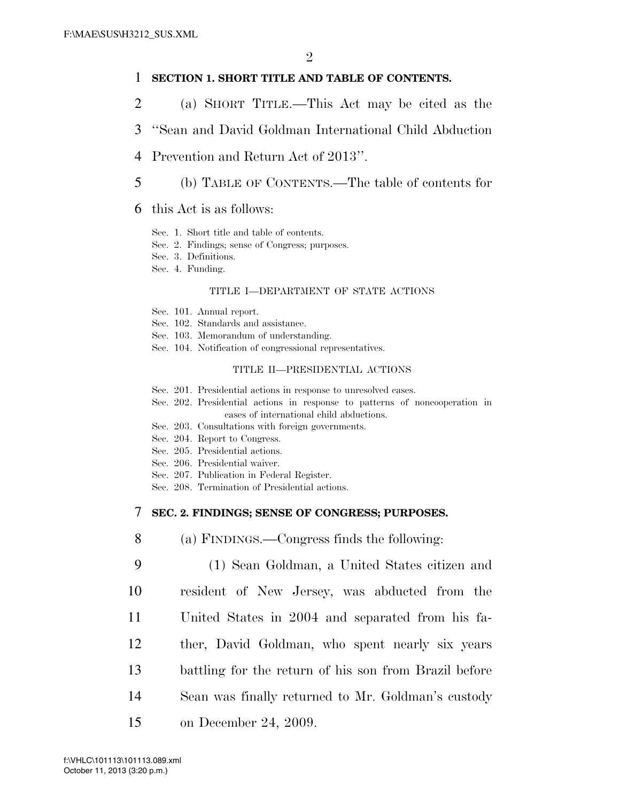## 1 **SECTION 1. SHORT TITLE AND TABLE OF CONTENTS.**

- 2 (a) SHORT TITLE.—This Act may be cited as the
- 3 ''Sean and David Goldman International Child Abduction
- 4 Prevention and Return Act of 2013''.
- 5 (b) TABLE OF CONTENTS.—The table of contents for
- 6 this Act is as follows:
	- Sec. 1. Short title and table of contents.
	- Sec. 2. Findings; sense of Congress; purposes.
	- Sec. 3. Definitions.
	- Sec. 4. Funding.

#### TITLE I—DEPARTMENT OF STATE ACTIONS

- Sec. 101. Annual report.
- Sec. 102. Standards and assistance.
- Sec. 103. Memorandum of understanding.
- Sec. 104. Notification of congressional representatives.

#### TITLE II—PRESIDENTIAL ACTIONS

- Sec. 201. Presidential actions in response to unresolved cases.
- Sec. 202. Presidential actions in response to patterns of noncooperation in cases of international child abductions.
- Sec. 203. Consultations with foreign governments.
- Sec. 204. Report to Congress.
- Sec. 205. Presidential actions.
- Sec. 206. Presidential waiver.
- Sec. 207. Publication in Federal Register.
- Sec. 208. Termination of Presidential actions.

## 7 **SEC. 2. FINDINGS; SENSE OF CONGRESS; PURPOSES.**

- 8 (a) FINDINGS.—Congress finds the following:
- 9 (1) Sean Goldman, a United States citizen and 10 resident of New Jersey, was abducted from the 11 United States in 2004 and separated from his fa-12 ther, David Goldman, who spent nearly six years 13 battling for the return of his son from Brazil before 14 Sean was finally returned to Mr. Goldman's custody 15 on December 24, 2009.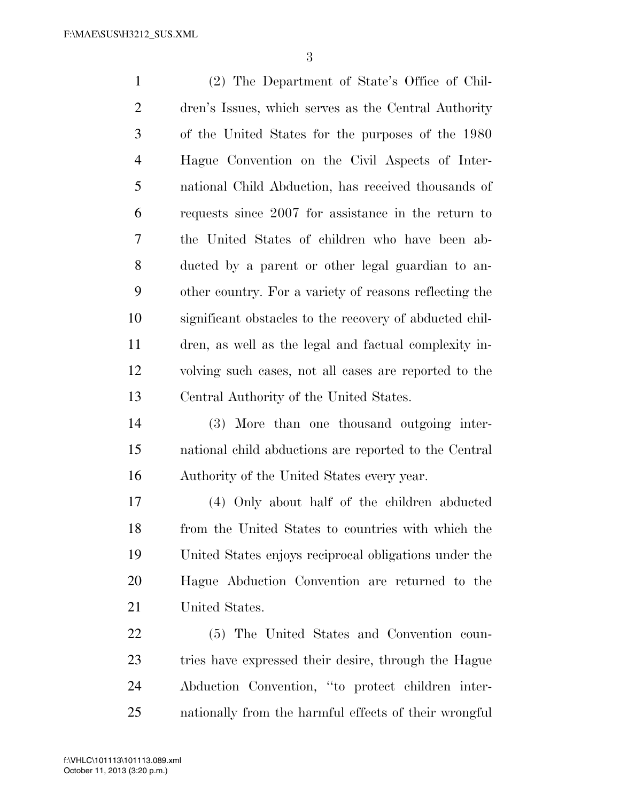(2) The Department of State's Office of Chil- dren's Issues, which serves as the Central Authority of the United States for the purposes of the 1980 Hague Convention on the Civil Aspects of Inter- national Child Abduction, has received thousands of requests since 2007 for assistance in the return to the United States of children who have been ab- ducted by a parent or other legal guardian to an- other country. For a variety of reasons reflecting the significant obstacles to the recovery of abducted chil- dren, as well as the legal and factual complexity in- volving such cases, not all cases are reported to the Central Authority of the United States. (3) More than one thousand outgoing inter-national child abductions are reported to the Central

Authority of the United States every year.

 (4) Only about half of the children abducted from the United States to countries with which the United States enjoys reciprocal obligations under the Hague Abduction Convention are returned to the United States.

 (5) The United States and Convention coun- tries have expressed their desire, through the Hague Abduction Convention, ''to protect children inter-nationally from the harmful effects of their wrongful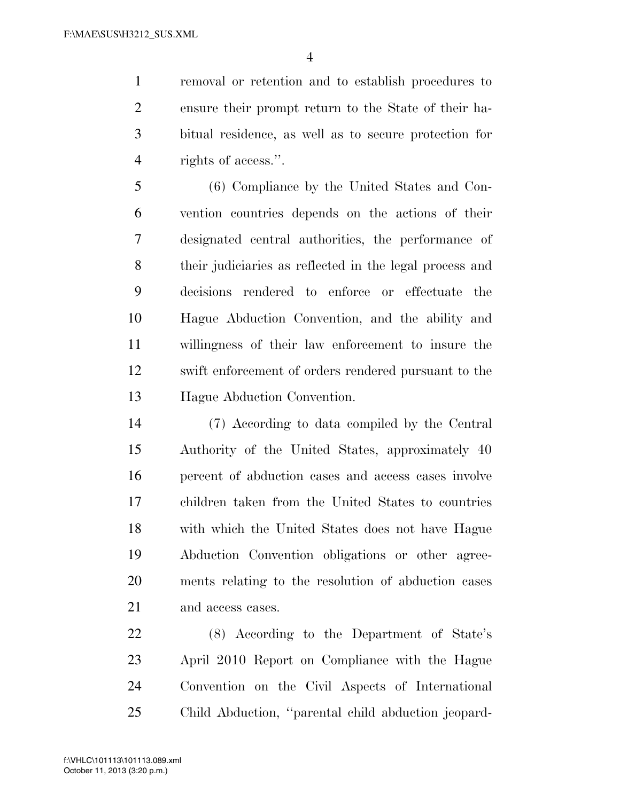removal or retention and to establish procedures to ensure their prompt return to the State of their ha- bitual residence, as well as to secure protection for rights of access.''.

 (6) Compliance by the United States and Con- vention countries depends on the actions of their designated central authorities, the performance of their judiciaries as reflected in the legal process and decisions rendered to enforce or effectuate the Hague Abduction Convention, and the ability and willingness of their law enforcement to insure the swift enforcement of orders rendered pursuant to the Hague Abduction Convention.

 (7) According to data compiled by the Central Authority of the United States, approximately 40 percent of abduction cases and access cases involve children taken from the United States to countries with which the United States does not have Hague Abduction Convention obligations or other agree- ments relating to the resolution of abduction cases and access cases.

 (8) According to the Department of State's April 2010 Report on Compliance with the Hague Convention on the Civil Aspects of International Child Abduction, ''parental child abduction jeopard-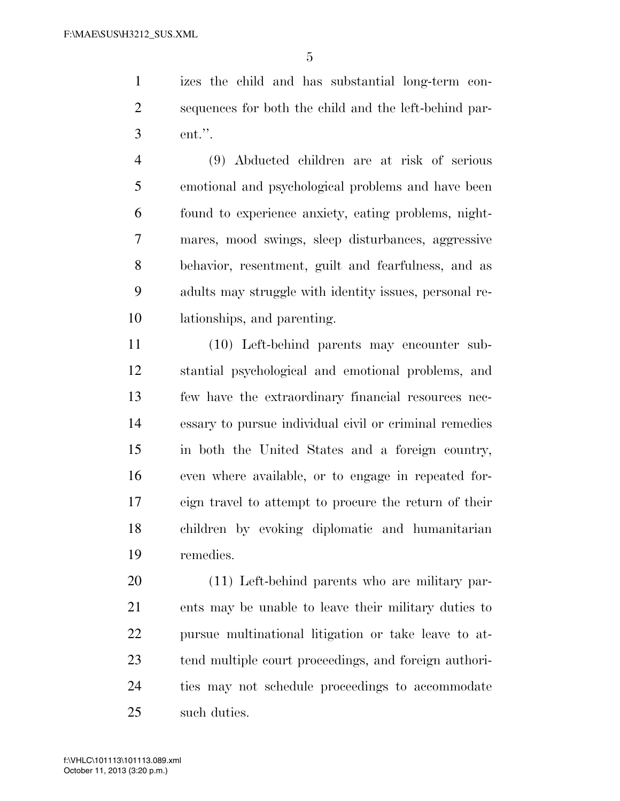izes the child and has substantial long-term con- sequences for both the child and the left-behind par-ent.''.

 (9) Abducted children are at risk of serious emotional and psychological problems and have been found to experience anxiety, eating problems, night- mares, mood swings, sleep disturbances, aggressive behavior, resentment, guilt and fearfulness, and as adults may struggle with identity issues, personal re-lationships, and parenting.

 (10) Left-behind parents may encounter sub- stantial psychological and emotional problems, and few have the extraordinary financial resources nec- essary to pursue individual civil or criminal remedies in both the United States and a foreign country, even where available, or to engage in repeated for- eign travel to attempt to procure the return of their children by evoking diplomatic and humanitarian remedies.

 (11) Left-behind parents who are military par- ents may be unable to leave their military duties to pursue multinational litigation or take leave to at- tend multiple court proceedings, and foreign authori- ties may not schedule proceedings to accommodate such duties.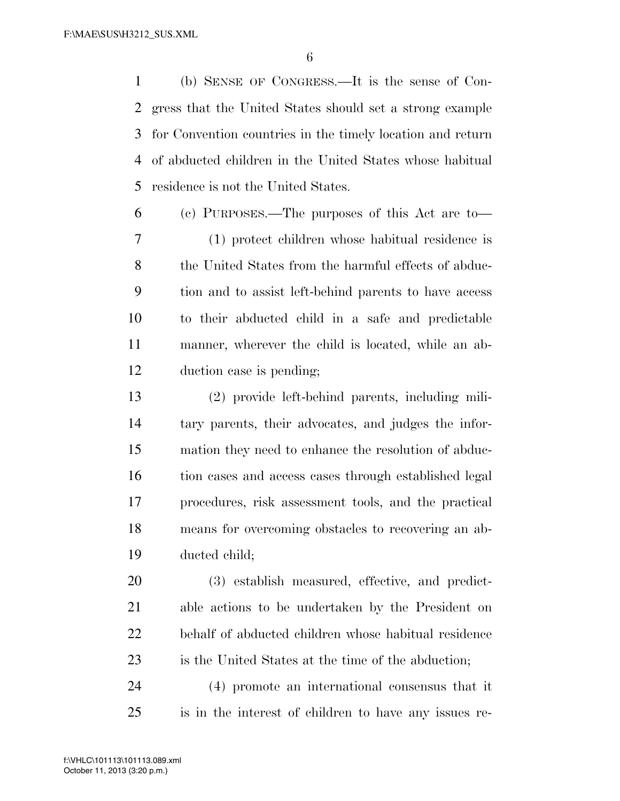(b) SENSE OF CONGRESS.—It is the sense of Con- gress that the United States should set a strong example for Convention countries in the timely location and return of abducted children in the United States whose habitual residence is not the United States.

 (c) PURPOSES.—The purposes of this Act are to— (1) protect children whose habitual residence is 8 the United States from the harmful effects of abduc- tion and to assist left-behind parents to have access to their abducted child in a safe and predictable manner, wherever the child is located, while an ab-duction case is pending;

 (2) provide left-behind parents, including mili- tary parents, their advocates, and judges the infor- mation they need to enhance the resolution of abduc- tion cases and access cases through established legal procedures, risk assessment tools, and the practical means for overcoming obstacles to recovering an ab-ducted child;

 (3) establish measured, effective, and predict- able actions to be undertaken by the President on behalf of abducted children whose habitual residence is the United States at the time of the abduction;

 (4) promote an international consensus that it is in the interest of children to have any issues re-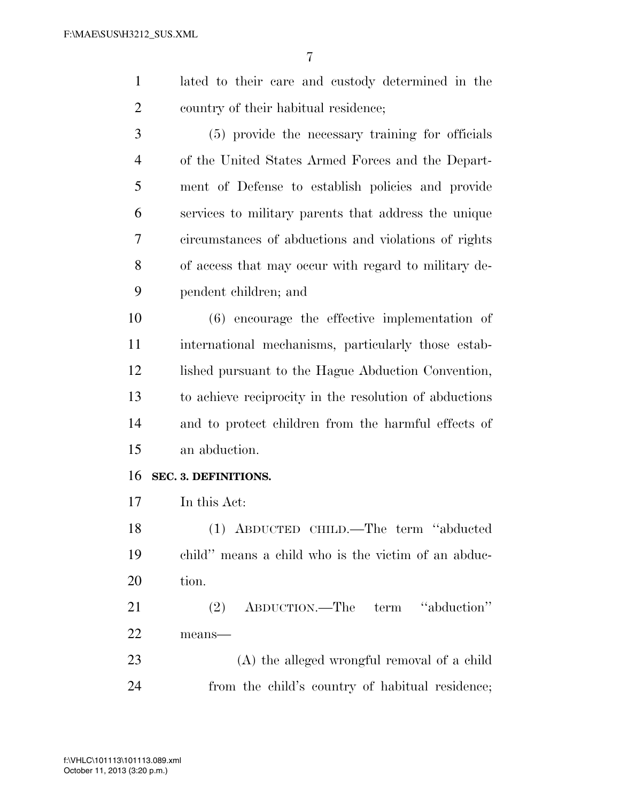lated to their care and custody determined in the country of their habitual residence;

 (5) provide the necessary training for officials of the United States Armed Forces and the Depart- ment of Defense to establish policies and provide services to military parents that address the unique circumstances of abductions and violations of rights of access that may occur with regard to military de-pendent children; and

 (6) encourage the effective implementation of international mechanisms, particularly those estab-12 lished pursuant to the Hague Abduction Convention, to achieve reciprocity in the resolution of abductions and to protect children from the harmful effects of an abduction.

# **SEC. 3. DEFINITIONS.**

In this Act:

 (1) ABDUCTED CHILD.—The term ''abducted child'' means a child who is the victim of an abduc-tion.

 (2) ABDUCTION.—The term ''abduction'' means—

 (A) the alleged wrongful removal of a child from the child's country of habitual residence;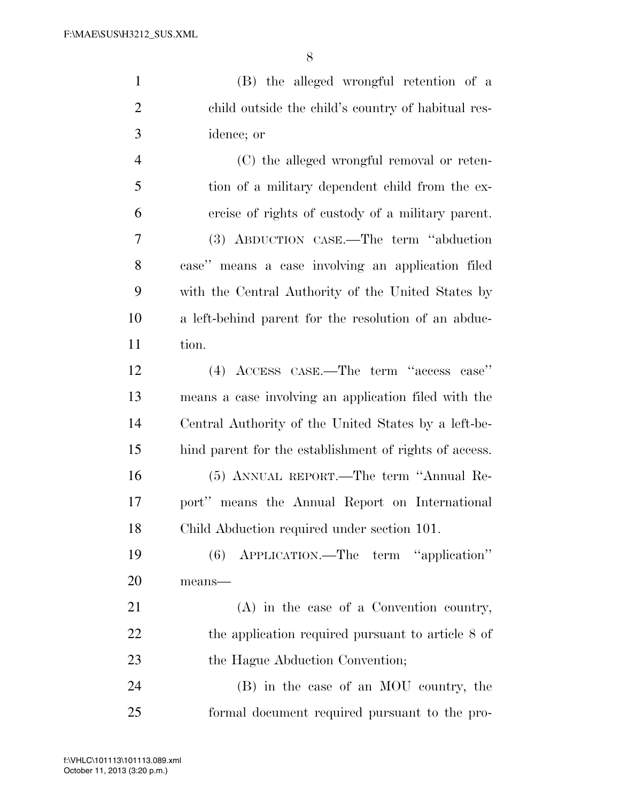(B) the alleged wrongful retention of a child outside the child's country of habitual res- idence; or (C) the alleged wrongful removal or reten- tion of a military dependent child from the ex- ercise of rights of custody of a military parent. (3) ABDUCTION CASE.—The term ''abduction case'' means a case involving an application filed

 with the Central Authority of the United States by a left-behind parent for the resolution of an abduc-tion.

 (4) ACCESS CASE.—The term ''access case'' means a case involving an application filed with the Central Authority of the United States by a left-be- hind parent for the establishment of rights of access. (5) ANNUAL REPORT.—The term ''Annual Re- port'' means the Annual Report on International Child Abduction required under section 101.

 (6) APPLICATION.—The term ''application'' means—

 (A) in the case of a Convention country, 22 the application required pursuant to article 8 of 23 the Hague Abduction Convention;

 (B) in the case of an MOU country, the formal document required pursuant to the pro-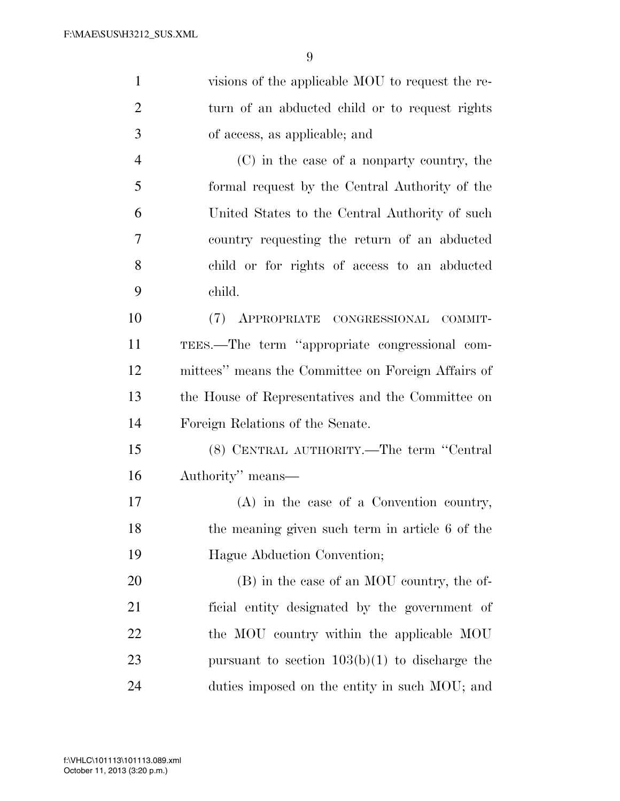| $\mathbf{1}$   | visions of the applicable MOU to request the re-   |
|----------------|----------------------------------------------------|
| $\overline{2}$ | turn of an abducted child or to request rights     |
| 3              | of access, as applicable; and                      |
| $\overline{4}$ | (C) in the case of a nonparty country, the         |
| 5              | formal request by the Central Authority of the     |
| 6              | United States to the Central Authority of such     |
| 7              | country requesting the return of an abducted       |
| 8              | child or for rights of access to an abducted       |
| 9              | child.                                             |
| 10             | (7) APPROPRIATE CONGRESSIONAL COMMIT-              |
| 11             | TEES.—The term "appropriate congressional com-     |
| 12             | mittees" means the Committee on Foreign Affairs of |
| 13             | the House of Representatives and the Committee on  |
| 14             | Foreign Relations of the Senate.                   |
| 15             | (8) CENTRAL AUTHORITY.—The term "Central           |
| 16             | Authority" means—                                  |
| 17             | $(A)$ in the case of a Convention country,         |
| 18             | the meaning given such term in article 6 of the    |
| 19             | Hague Abduction Convention;                        |
| 20             | (B) in the case of an MOU country, the of-         |
| 21             | ficial entity designated by the government of      |
| 22             | the MOU country within the applicable MOU          |
| 23             | pursuant to section $103(b)(1)$ to discharge the   |
| 24             | duties imposed on the entity in such MOU; and      |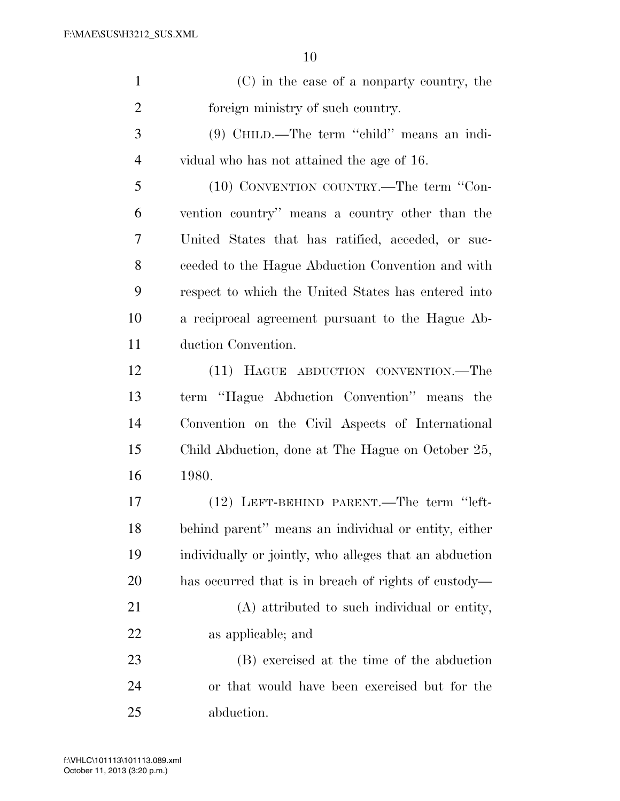| $\mathbf{1}$   | (C) in the case of a nonparty country, the             |
|----------------|--------------------------------------------------------|
| $\overline{2}$ | foreign ministry of such country.                      |
| $\mathfrak{Z}$ | (9) CHILD.—The term "child" means an indi-             |
| $\overline{4}$ | vidual who has not attained the age of 16.             |
| 5              | (10) CONVENTION COUNTRY.—The term "Con-                |
| 6              | vention country" means a country other than the        |
| 7              | United States that has ratified, acceded, or suc-      |
| 8              | ceeded to the Hague Abduction Convention and with      |
| 9              | respect to which the United States has entered into    |
| 10             | a reciprocal agreement pursuant to the Hague Ab-       |
| 11             | duction Convention.                                    |
| 12             | (11) HAGUE ABDUCTION CONVENTION.-The                   |
| 13             | term "Hague Abduction Convention" means the            |
| 14             | Convention on the Civil Aspects of International       |
| 15             | Child Abduction, done at The Hague on October 25,      |
| 16             | 1980.                                                  |
| 17             | (12) LEFT-BEHIND PARENT.—The term "left-               |
| 18             | behind parent" means an individual or entity, either   |
| 19             | individually or jointly, who alleges that an abduction |
| 20             | has occurred that is in breach of rights of custody—   |
| 21             | (A) attributed to such individual or entity,           |
| 22             | as applicable; and                                     |

 (B) exercised at the time of the abduction or that would have been exercised but for the abduction.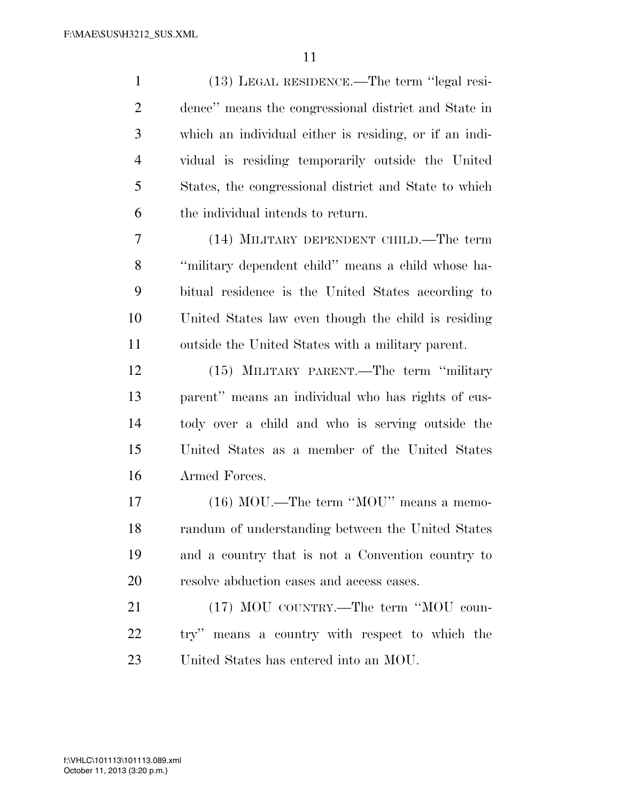(13) LEGAL RESIDENCE.—The term ''legal resi- dence'' means the congressional district and State in which an individual either is residing, or if an indi- vidual is residing temporarily outside the United States, the congressional district and State to which the individual intends to return. (14) MILITARY DEPENDENT CHILD.—The term ''military dependent child'' means a child whose ha- bitual residence is the United States according to United States law even though the child is residing outside the United States with a military parent. (15) MILITARY PARENT.—The term ''military parent'' means an individual who has rights of cus- tody over a child and who is serving outside the United States as a member of the United States Armed Forces. 17 (16) MOU.—The term "MOU" means a memo- randum of understanding between the United States and a country that is not a Convention country to resolve abduction cases and access cases. 21 (17) MOU COUNTRY.—The term "MOU coun- try'' means a country with respect to which the United States has entered into an MOU.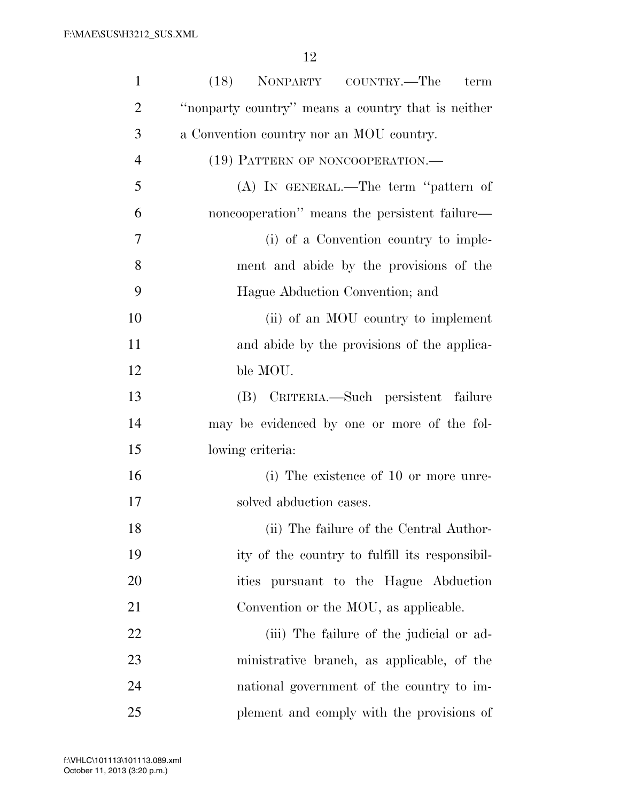| $\mathbf{1}$   | (18) NONPARTY COUNTRY.—The<br>term                 |
|----------------|----------------------------------------------------|
| $\overline{2}$ | "nonparty country" means a country that is neither |
| 3              | a Convention country nor an MOU country.           |
| $\overline{4}$ | (19) PATTERN OF NONCOOPERATION.—                   |
| 5              | $(A)$ In GENERAL.—The term "pattern of             |
| 6              | noncooperation" means the persistent failure—      |
| 7              | (i) of a Convention country to imple-              |
| 8              | ment and abide by the provisions of the            |
| 9              | Hague Abduction Convention; and                    |
| 10             | (ii) of an MOU country to implement                |
| 11             | and a bide by the provisions of the applica-       |
| 12             | ble MOU.                                           |
| 13             | (B) CRITERIA.—Such persistent failure              |
| 14             | may be evidenced by one or more of the fol-        |
| 15             | lowing criteria:                                   |
| 16             | (i) The existence of 10 or more unre-              |
| 17             | solved abduction cases.                            |
| 18             | (ii) The failure of the Central Author-            |
| 19             | ity of the country to fulfill its responsibil-     |
| 20             | ities pursuant to the Hague Abduction              |
| 21             | Convention or the MOU, as applicable.              |
| 22             | (iii) The failure of the judicial or ad-           |
| 23             | ministrative branch, as applicable, of the         |
| 24             | national government of the country to im-          |
| 25             | plement and comply with the provisions of          |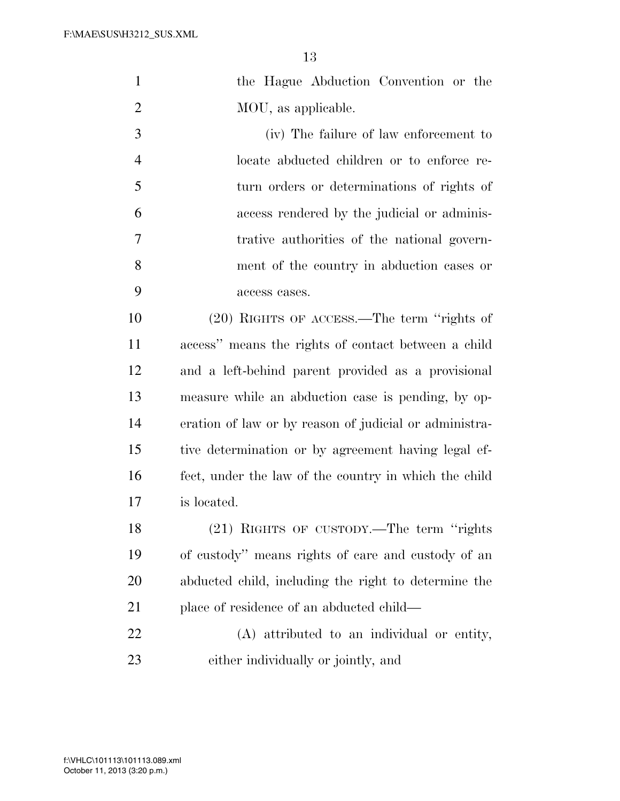| $\mathbf{1}$   | the Hague Abduction Convention or the                  |
|----------------|--------------------------------------------------------|
| $\overline{2}$ | MOU, as applicable.                                    |
| 3              | (iv) The failure of law enforcement to                 |
| $\overline{4}$ | locate abducted children or to enforce re-             |
| 5              | turn orders or determinations of rights of             |
| 6              | access rendered by the judicial or adminis-            |
| 7              | trative authorities of the national govern-            |
| 8              | ment of the country in abduction cases or              |
| 9              | access cases.                                          |
| 10             | (20) RIGHTS OF ACCESS.—The term "rights of             |
| 11             | access" means the rights of contact between a child    |
| 12             | and a left-behind parent provided as a provisional     |
| 13             | measure while an abduction case is pending, by op-     |
| 14             | eration of law or by reason of judicial or administra- |
| 15             | tive determination or by agreement having legal ef-    |
| 16             | fect, under the law of the country in which the child  |
| 17             | is located.                                            |
| 18             | $(21)$ RIGHTS OF CUSTODY.—The term "rights"            |
| 19             | of custody" means rights of care and custody of an     |
| 20             | abducted child, including the right to determine the   |
| 21             | place of residence of an abducted child—               |
| 22             | (A) attributed to an individual or entity,             |
| 23             | either individually or jointly, and                    |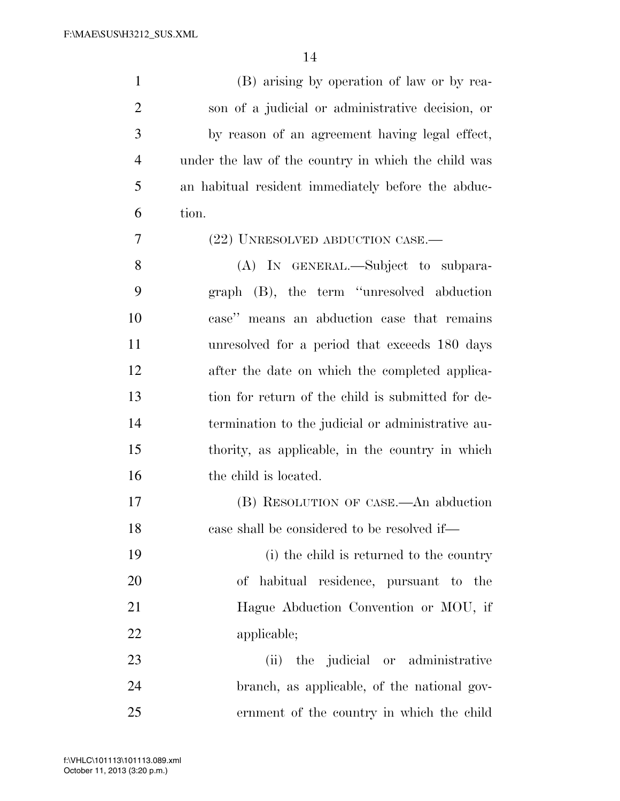| $\mathbf{1}$   | (B) arising by operation of law or by rea-          |
|----------------|-----------------------------------------------------|
| $\overline{2}$ | son of a judicial or administrative decision, or    |
| 3              | by reason of an agreement having legal effect,      |
| $\overline{4}$ | under the law of the country in which the child was |
| 5              | an habitual resident immediately before the abduc-  |
| 6              | tion.                                               |
| 7              | (22) UNRESOLVED ABDUCTION CASE.—                    |
| 8              | (A) IN GENERAL.—Subject to subpara-                 |
| 9              | graph (B), the term "unresolved abduction           |
| 10             | case" means an abduction case that remains          |
| 11             | unresolved for a period that exceeds 180 days       |
| 12             | after the date on which the completed applica-      |
| 13             | tion for return of the child is submitted for de-   |
| 14             | termination to the judicial or administrative au-   |
| 15             | thority, as applicable, in the country in which     |
| 16             | the child is located.                               |
| $17\,$         | (B) RESOLUTION OF CASE.—An abduction                |
| 18             | case shall be considered to be resolved if—         |
| 19             | (i) the child is returned to the country            |
| 20             | of habitual residence, pursuant to the              |
| 21             | Hague Abduction Convention or MOU, if               |
| 22             | applicable;                                         |
| 23             | the judicial or administrative<br>(ii)              |
| 24             | branch, as applicable, of the national gov-         |
| 25             | ernment of the country in which the child           |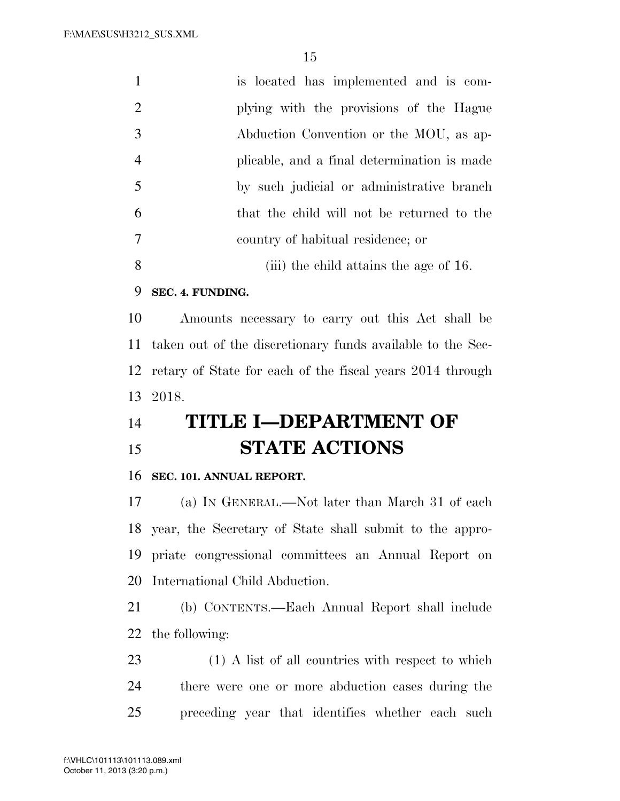|                | is located has implemented and is com-      |
|----------------|---------------------------------------------|
| $\overline{2}$ | plying with the provisions of the Hague     |
| 3              | Abduction Convention or the MOU, as ap-     |
| $\overline{4}$ | plicable, and a final determination is made |
| $\overline{5}$ | by such judicial or administrative branch   |
| 6              | that the child will not be returned to the  |
| $\overline{7}$ | country of habitual residence; or           |
| 8              | (iii) the child attains the age of 16.      |

# **SEC. 4. FUNDING.**

 Amounts necessary to carry out this Act shall be taken out of the discretionary funds available to the Sec- retary of State for each of the fiscal years 2014 through 2018.

# **TITLE I—DEPARTMENT OF STATE ACTIONS**

# **SEC. 101. ANNUAL REPORT.**

 (a) IN GENERAL.—Not later than March 31 of each year, the Secretary of State shall submit to the appro- priate congressional committees an Annual Report on International Child Abduction.

 (b) CONTENTS.—Each Annual Report shall include the following:

 (1) A list of all countries with respect to which there were one or more abduction cases during the preceding year that identifies whether each such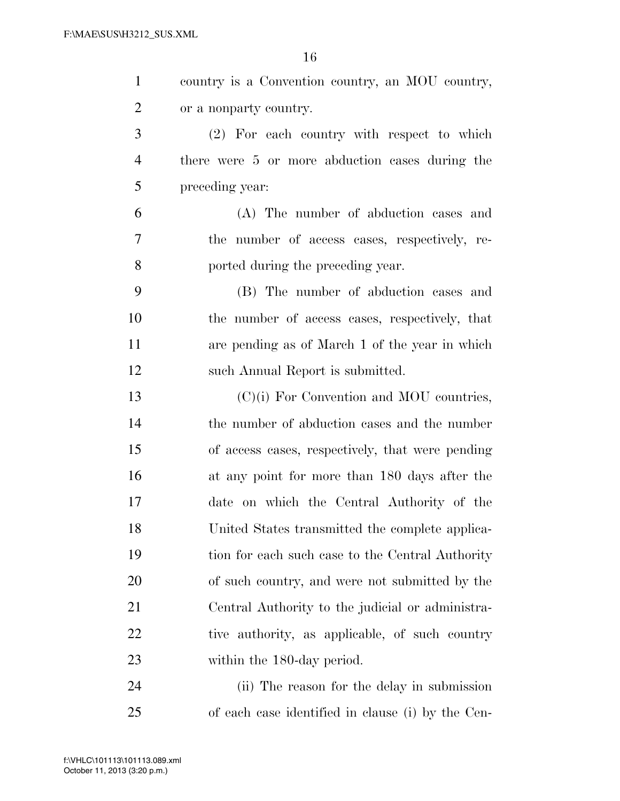| $\mathbf{1}$   | country is a Convention country, an MOU country, |
|----------------|--------------------------------------------------|
| $\overline{2}$ | or a nonparty country.                           |
| 3              | (2) For each country with respect to which       |
| $\overline{4}$ | there were 5 or more abduction cases during the  |
| 5              | preceding year:                                  |
| 6              | (A) The number of abduction cases and            |
| 7              | the number of access cases, respectively, re-    |
| 8              | ported during the preceding year.                |
| 9              | (B) The number of abduction cases and            |
| 10             | the number of access cases, respectively, that   |
| 11             | are pending as of March 1 of the year in which   |
| 12             | such Annual Report is submitted.                 |
| 13             | $(C)(i)$ For Convention and MOU countries,       |
| 14             | the number of abduction cases and the number     |
| 15             | of access cases, respectively, that were pending |
| 16             | at any point for more than 180 days after the    |
| 17             | date on which the Central Authority of the       |
| 18             | United States transmitted the complete applica-  |
| 19             | tion for each such case to the Central Authority |
| 20             | of such country, and were not submitted by the   |
| 21             | Central Authority to the judicial or administra- |
| 22             | tive authority, as applicable, of such country   |
| 23             | within the 180-day period.                       |
| 24             | (ii) The reason for the delay in submission      |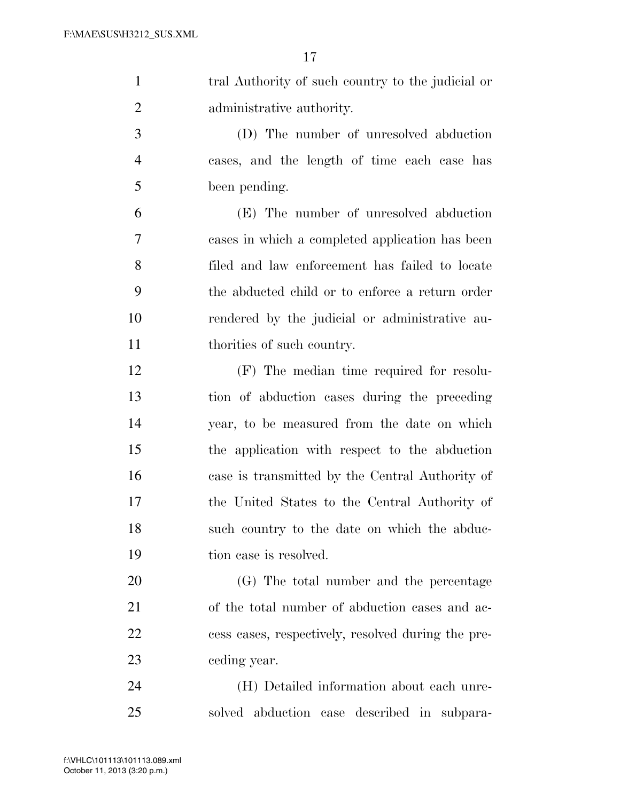| $\mathbf{1}$ | tral Authority of such country to the judicial or |
|--------------|---------------------------------------------------|
| 2            | administrative authority.                         |
| 3            | (D) The number of unresolved abduction            |
| 4            | cases, and the length of time each case has       |
| 5            | been pending.                                     |
| 6            | (E) The number of unresolved abduction            |
| 7            | cases in which a completed application has been   |
|              |                                                   |

 filed and law enforcement has failed to locate the abducted child or to enforce a return order rendered by the judicial or administrative au-11 thorities of such country.

 (F) The median time required for resolu- tion of abduction cases during the preceding year, to be measured from the date on which the application with respect to the abduction case is transmitted by the Central Authority of the United States to the Central Authority of such country to the date on which the abduc-tion case is resolved.

 (G) The total number and the percentage of the total number of abduction cases and ac- cess cases, respectively, resolved during the pre-ceding year.

 (H) Detailed information about each unre-solved abduction case described in subpara-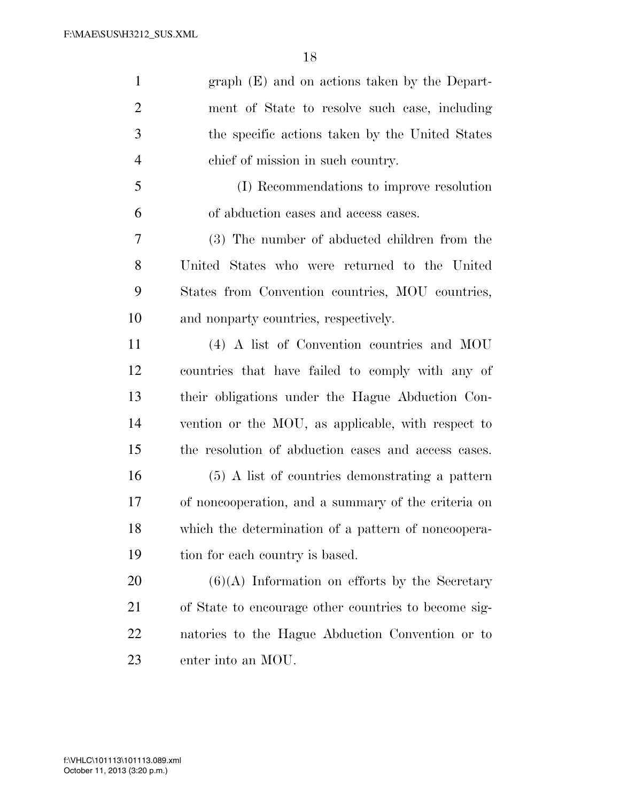| $\mathbf{1}$   | graph (E) and on actions taken by the Depart-        |
|----------------|------------------------------------------------------|
| $\overline{2}$ | ment of State to resolve such case, including        |
| 3              | the specific actions taken by the United States      |
| $\overline{4}$ | chief of mission in such country.                    |
| 5              | (I) Recommendations to improve resolution            |
| 6              | of abduction cases and access cases.                 |
| 7              | (3) The number of abducted children from the         |
| 8              | United States who were returned to the United        |
| 9              | States from Convention countries, MOU countries,     |
| 10             | and nonparty countries, respectively.                |
| 11             | (4) A list of Convention countries and MOU           |
| 12             | countries that have failed to comply with any of     |
| 13             | their obligations under the Hague Abduction Con-     |
| 14             | vention or the MOU, as applicable, with respect to   |
| 15             | the resolution of abduction cases and access cases.  |
| 16             | $(5)$ A list of countries demonstrating a pattern    |
| 17             | of noncooperation, and a summary of the criteria on  |
| 18             | which the determination of a pattern of noncoopera-  |
| 19             | tion for each country is based.                      |
| 20             | $(6)(A)$ Information on efforts by the Secretary     |
| 21             | of State to encourage other countries to become sig- |
| 22             | natories to the Hague Abduction Convention or to     |

enter into an MOU.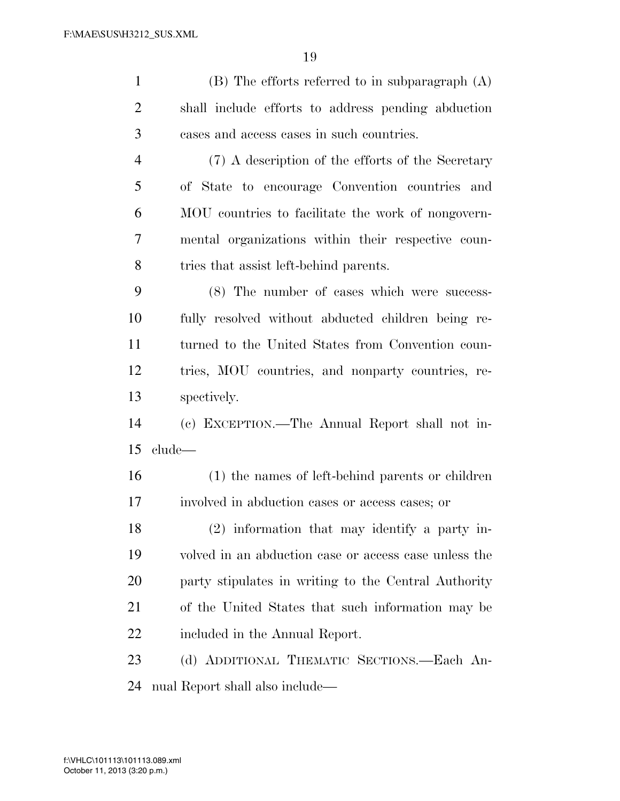| $\mathbf{1}$   | $(B)$ The efforts referred to in subparagraph $(A)$   |
|----------------|-------------------------------------------------------|
| $\overline{2}$ | shall include efforts to address pending abduction    |
| 3              | cases and access cases in such countries.             |
| $\overline{4}$ | (7) A description of the efforts of the Secretary     |
| 5              | of State to encourage Convention countries and        |
| 6              | MOU countries to facilitate the work of nongovern-    |
| 7              | mental organizations within their respective coun-    |
| 8              | tries that assist left-behind parents.                |
| 9              | (8) The number of cases which were success-           |
| 10             | fully resolved without abducted children being re-    |
| 11             | turned to the United States from Convention coun-     |
| 12             | tries, MOU countries, and nonparty countries, re-     |
| 13             | spectively.                                           |
| 14             | (c) EXCEPTION.—The Annual Report shall not in-        |
| 15             | clude—                                                |
| 16             | (1) the names of left-behind parents or children      |
| 17             | involved in abduction cases or access cases; or       |
| 18             | (2) information that may identify a party in-         |
| 19             | volved in an abduction case or access case unless the |
| 20             | party stipulates in writing to the Central Authority  |
| 21             | of the United States that such information may be     |
| 22             | included in the Annual Report.                        |
| 23             | (d) ADDITIONAL THEMATIC SECTIONS.—Each An-            |
| 24             | nual Report shall also include—                       |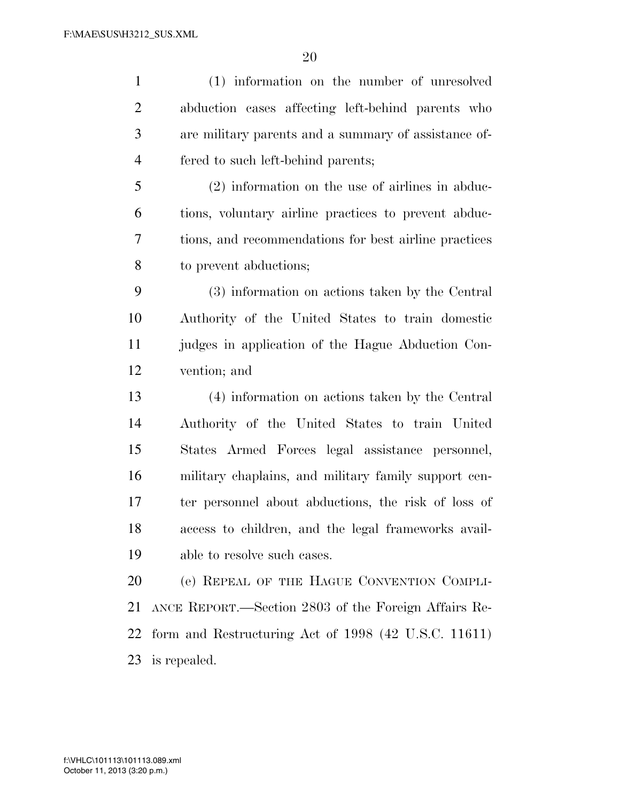(1) information on the number of unresolved abduction cases affecting left-behind parents who are military parents and a summary of assistance of- fered to such left-behind parents; (2) information on the use of airlines in abduc- tions, voluntary airline practices to prevent abduc- tions, and recommendations for best airline practices to prevent abductions; (3) information on actions taken by the Central Authority of the United States to train domestic judges in application of the Hague Abduction Con- vention; and (4) information on actions taken by the Central Authority of the United States to train United States Armed Forces legal assistance personnel, military chaplains, and military family support cen-ter personnel about abductions, the risk of loss of

 access to children, and the legal frameworks avail-able to resolve such cases.

 (e) REPEAL OF THE HAGUE CONVENTION COMPLI- ANCE REPORT.—Section 2803 of the Foreign Affairs Re- form and Restructuring Act of 1998 (42 U.S.C. 11611) is repealed.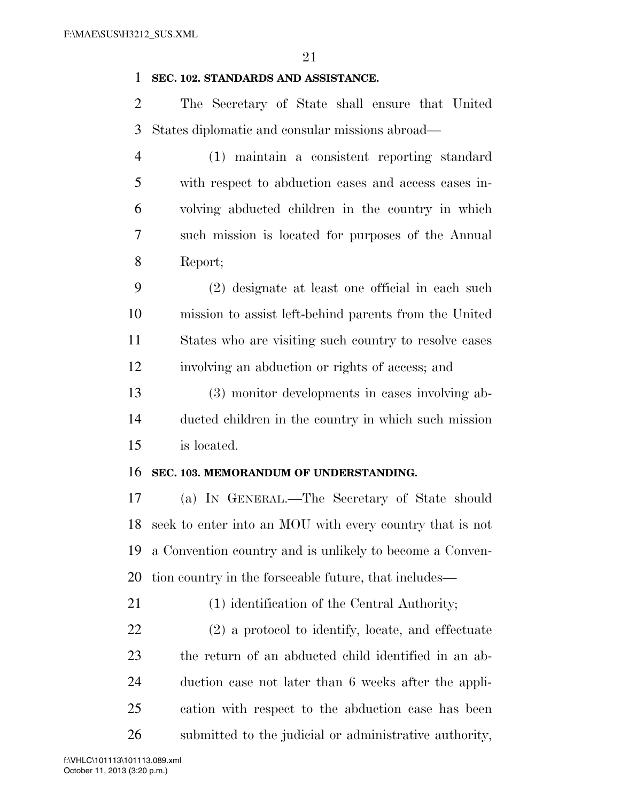# **SEC. 102. STANDARDS AND ASSISTANCE.**

 The Secretary of State shall ensure that United States diplomatic and consular missions abroad—

 (1) maintain a consistent reporting standard with respect to abduction cases and access cases in- volving abducted children in the country in which such mission is located for purposes of the Annual Report;

 (2) designate at least one official in each such mission to assist left-behind parents from the United States who are visiting such country to resolve cases involving an abduction or rights of access; and

 (3) monitor developments in cases involving ab- ducted children in the country in which such mission is located.

#### **SEC. 103. MEMORANDUM OF UNDERSTANDING.**

 (a) IN GENERAL.—The Secretary of State should seek to enter into an MOU with every country that is not a Convention country and is unlikely to become a Conven-tion country in the forseeable future, that includes—

(1) identification of the Central Authority;

 (2) a protocol to identify, locate, and effectuate the return of an abducted child identified in an ab- duction case not later than 6 weeks after the appli- cation with respect to the abduction case has been submitted to the judicial or administrative authority,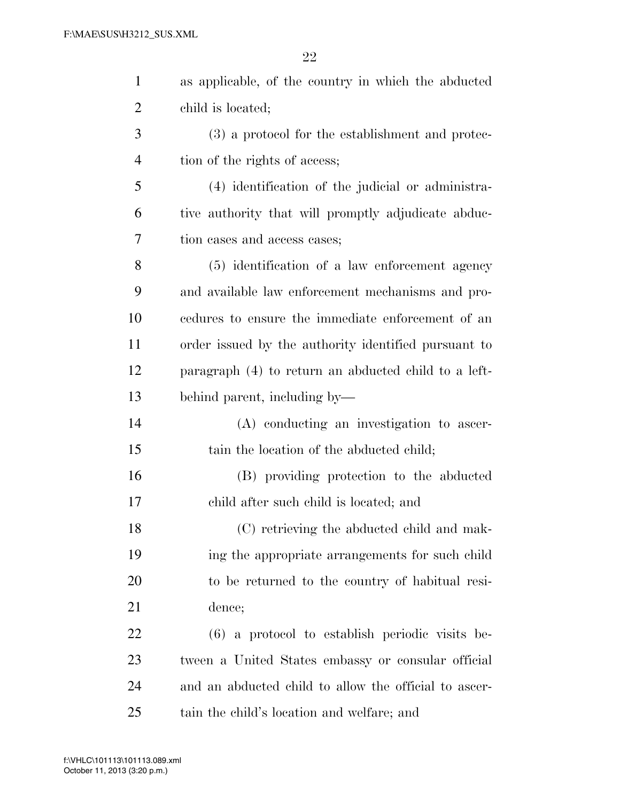| $\mathbf{1}$   | as applicable, of the country in which the abducted   |
|----------------|-------------------------------------------------------|
| $\overline{2}$ | child is located;                                     |
| 3              | (3) a protocol for the establishment and protec-      |
| $\overline{4}$ | tion of the rights of access;                         |
| 5              | (4) identification of the judicial or administra-     |
| 6              | tive authority that will promptly adjudicate abduc-   |
| 7              | tion cases and access cases;                          |
| 8              | (5) identification of a law enforcement agency        |
| 9              | and available law enforcement mechanisms and pro-     |
| 10             | cedures to ensure the immediate enforcement of an     |
| 11             | order issued by the authority identified pursuant to  |
| 12             | paragraph (4) to return an abducted child to a left-  |
| 13             | behind parent, including by-                          |
| 14             | (A) conducting an investigation to ascer-             |
| 15             | tain the location of the abducted child;              |
| 16             | (B) providing protection to the abducted              |
| 17             | child after such child is located; and                |
| 18             | (C) retrieving the abducted child and mak-            |
| 19             | ing the appropriate arrangements for such child       |
| 20             | to be returned to the country of habitual resi-       |
| 21             | dence;                                                |
| 22             | $(6)$ a protocol to establish periodic visits be-     |
| 23             | tween a United States embassy or consular official    |
| 24             | and an abducted child to allow the official to ascer- |
| 25             | tain the child's location and welfare; and            |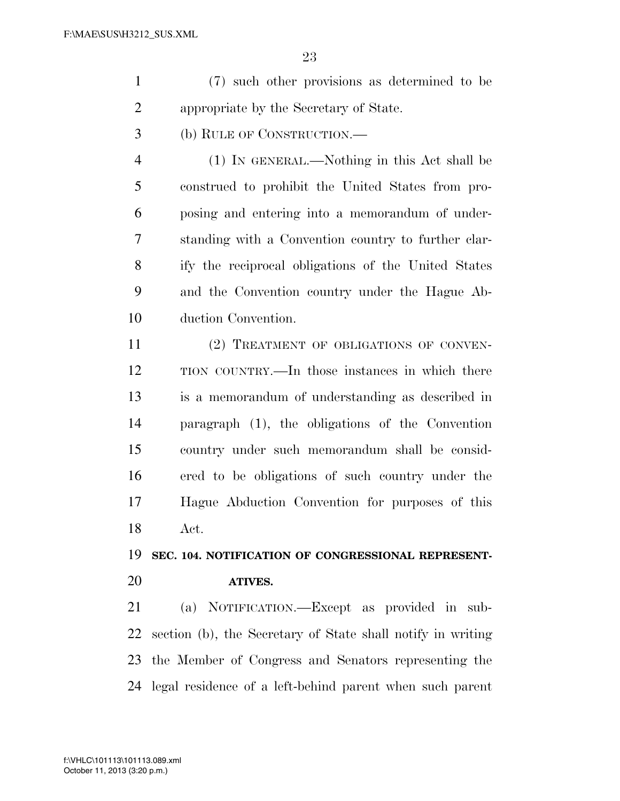- (7) such other provisions as determined to be appropriate by the Secretary of State.
- (b) RULE OF CONSTRUCTION.—

 (1) IN GENERAL.—Nothing in this Act shall be construed to prohibit the United States from pro- posing and entering into a memorandum of under- standing with a Convention country to further clar- ify the reciprocal obligations of the United States and the Convention country under the Hague Ab-duction Convention.

11 (2) TREATMENT OF OBLIGATIONS OF CONVEN- TION COUNTRY.—In those instances in which there is a memorandum of understanding as described in paragraph (1), the obligations of the Convention country under such memorandum shall be consid- ered to be obligations of such country under the Hague Abduction Convention for purposes of this Act.

#### **SEC. 104. NOTIFICATION OF CONGRESSIONAL REPRESENT-**

#### **ATIVES.**

 (a) NOTIFICATION.—Except as provided in sub- section (b), the Secretary of State shall notify in writing the Member of Congress and Senators representing the legal residence of a left-behind parent when such parent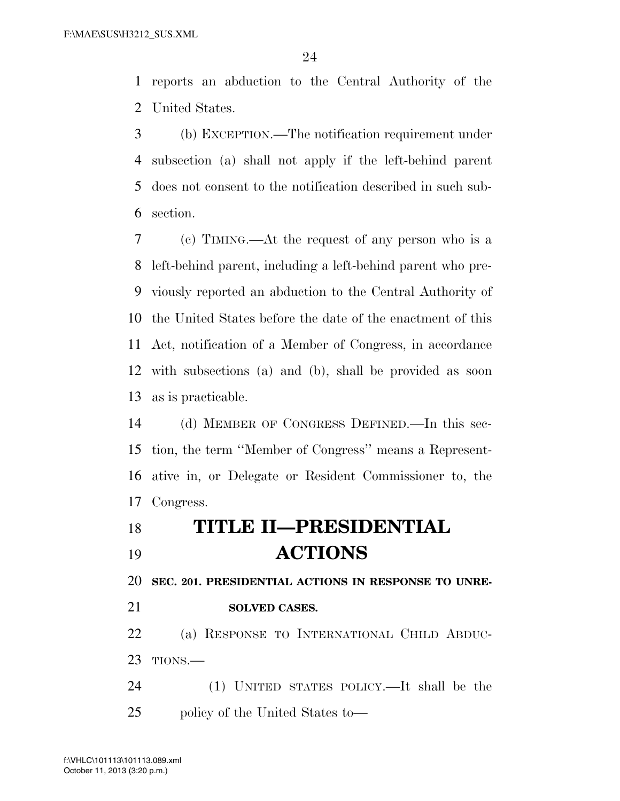reports an abduction to the Central Authority of the United States.

 (b) EXCEPTION.—The notification requirement under subsection (a) shall not apply if the left-behind parent does not consent to the notification described in such sub-section.

 (c) TIMING.—At the request of any person who is a left-behind parent, including a left-behind parent who pre- viously reported an abduction to the Central Authority of the United States before the date of the enactment of this Act, notification of a Member of Congress, in accordance with subsections (a) and (b), shall be provided as soon as is practicable.

 (d) MEMBER OF CONGRESS DEFINED.—In this sec- tion, the term ''Member of Congress'' means a Represent- ative in, or Delegate or Resident Commissioner to, the Congress.

| 18 | <b>TITLE II-PRESIDENTIAL</b> |
|----|------------------------------|
|    |                              |

**ACTIONS** 

**SEC. 201. PRESIDENTIAL ACTIONS IN RESPONSE TO UNRE-**

# **SOLVED CASES.**

 (a) RESPONSE TO INTERNATIONAL CHILD ABDUC-TIONS.—

 (1) UNITED STATES POLICY.—It shall be the policy of the United States to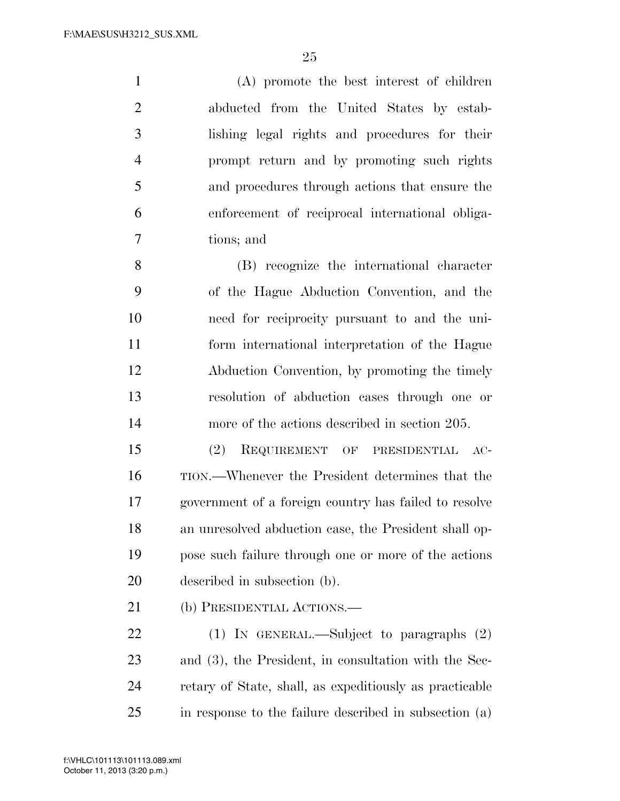(A) promote the best interest of children abducted from the United States by estab- lishing legal rights and procedures for their prompt return and by promoting such rights and procedures through actions that ensure the enforcement of reciprocal international obliga-tions; and

 (B) recognize the international character of the Hague Abduction Convention, and the need for reciprocity pursuant to and the uni- form international interpretation of the Hague Abduction Convention, by promoting the timely resolution of abduction cases through one or more of the actions described in section 205.

 (2) REQUIREMENT OF PRESIDENTIAL AC- TION.—Whenever the President determines that the government of a foreign country has failed to resolve an unresolved abduction case, the President shall op- pose such failure through one or more of the actions described in subsection (b).

(b) PRESIDENTIAL ACTIONS.—

 (1) IN GENERAL.—Subject to paragraphs (2) and (3), the President, in consultation with the Sec- retary of State, shall, as expeditiously as practicable in response to the failure described in subsection (a)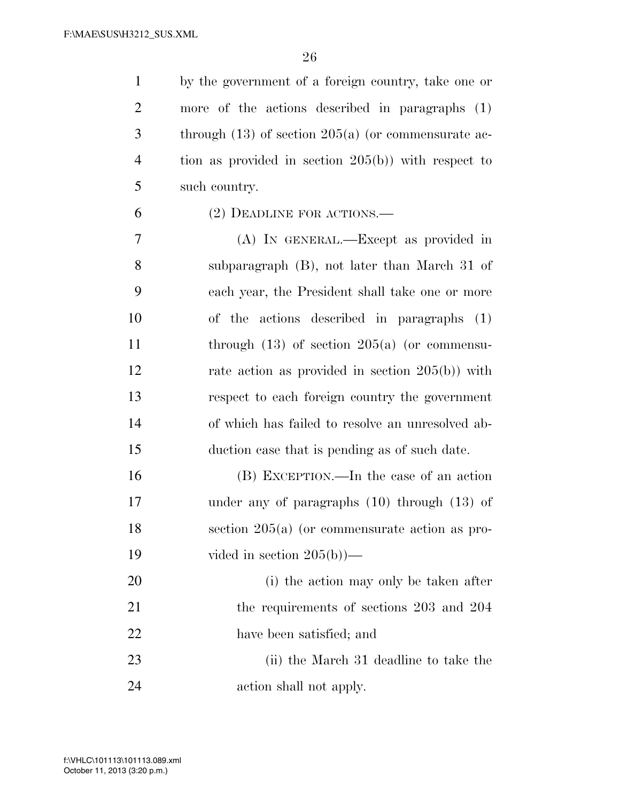by the government of a foreign country, take one or more of the actions described in paragraphs (1) through (13) of section 205(a) (or commensurate ac- tion as provided in section 205(b)) with respect to such country.

(2) DEADLINE FOR ACTIONS.—

 (A) IN GENERAL.—Except as provided in subparagraph (B), not later than March 31 of each year, the President shall take one or more of the actions described in paragraphs (1) through (13) of section 205(a) (or commensu-12 rate action as provided in section 205(b)) with respect to each foreign country the government of which has failed to resolve an unresolved ab-duction case that is pending as of such date.

 (B) EXCEPTION.—In the case of an action under any of paragraphs (10) through (13) of section 205(a) (or commensurate action as pro-vided in section 205(b))—

 (i) the action may only be taken after the requirements of sections 203 and 204 have been satisfied; and

23 (ii) the March 31 deadline to take the action shall not apply.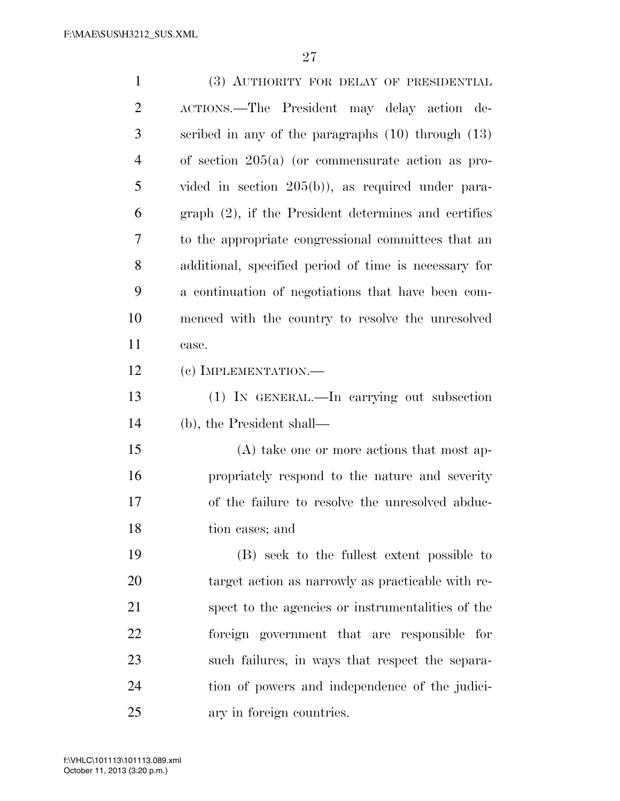| $\mathbf{1}$   | (3) AUTHORITY FOR DELAY OF PRESIDENTIAL                |
|----------------|--------------------------------------------------------|
| $\overline{2}$ | ACTIONS.—The President may delay action de-            |
| 3              | scribed in any of the paragraphs $(10)$ through $(13)$ |
| $\overline{4}$ | of section $205(a)$ (or commensurate action as pro-    |
| 5              | vided in section $205(b)$ , as required under para-    |
| 6              | graph (2), if the President determines and certifies   |
| 7              | to the appropriate congressional committees that an    |
| 8              | additional, specified period of time is necessary for  |
| 9              | a continuation of negotiations that have been com-     |
| 10             | menced with the country to resolve the unresolved      |
| 11             | case.                                                  |
| 12             | $(c)$ IMPLEMENTATION.—                                 |
| 13             | (1) IN GENERAL.—In carrying out subsection             |
| 14             | (b), the President shall—                              |
| 15             | (A) take one or more actions that most ap-             |
| 16             | propriately respond to the nature and severity         |
| 17             | of the failure to resolve the unresolved abduc-        |
| 18             | tion cases; and                                        |
| 19             | (B) seek to the fullest extent possible to             |
| 20             | target action as narrowly as practicable with re-      |
| 21             | spect to the agencies or instrumentalities of the      |
| 22             | foreign government that are responsible for            |
| 23             | such failures, in ways that respect the separa-        |
| 24             | tion of powers and independence of the judici-         |
| 25             | ary in foreign countries.                              |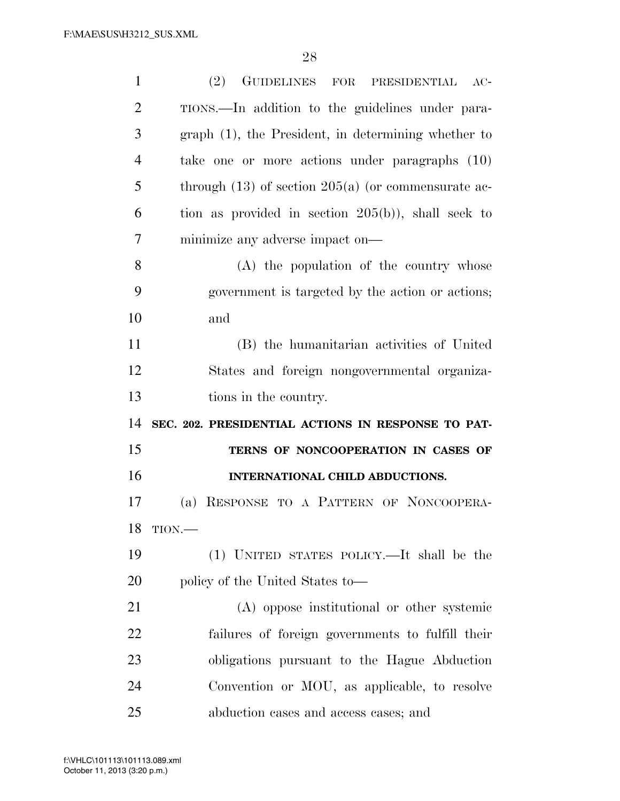| $\mathbf{1}$   | (2)<br>GUIDELINES FOR PRESIDENTIAL<br>$AC-$             |
|----------------|---------------------------------------------------------|
| $\overline{2}$ | TIONS.—In addition to the guidelines under para-        |
| 3              | graph (1), the President, in determining whether to     |
| $\overline{4}$ | take one or more actions under paragraphs (10)          |
| 5              | through $(13)$ of section $205(a)$ (or commensurate ac- |
| 6              | tion as provided in section $205(b)$ , shall seek to    |
| 7              | minimize any adverse impact on—                         |
| 8              | (A) the population of the country whose                 |
| 9              | government is targeted by the action or actions;        |
| 10             | and                                                     |
| 11             | (B) the humanitarian activities of United               |
| 12             | States and foreign nongovernmental organiza-            |
|                |                                                         |
| 13             | tions in the country.                                   |
| 14             | SEC. 202. PRESIDENTIAL ACTIONS IN RESPONSE TO PAT-      |
| 15             | TERNS OF NONCOOPERATION IN CASES OF                     |
| 16             | INTERNATIONAL CHILD ABDUCTIONS.                         |
| 17             | (a) RESPONSE TO A PATTERN OF NONCOOPERA-                |
|                | 18 TION.-                                               |
| 19             | (1) UNITED STATES POLICY.—It shall be the               |
| 20             | policy of the United States to—                         |
| 21             | (A) oppose institutional or other systemic              |
| 22             | failures of foreign governments to fulfill their        |
| 23             | obligations pursuant to the Hague Abduction             |
| 24             | Convention or MOU, as applicable, to resolve            |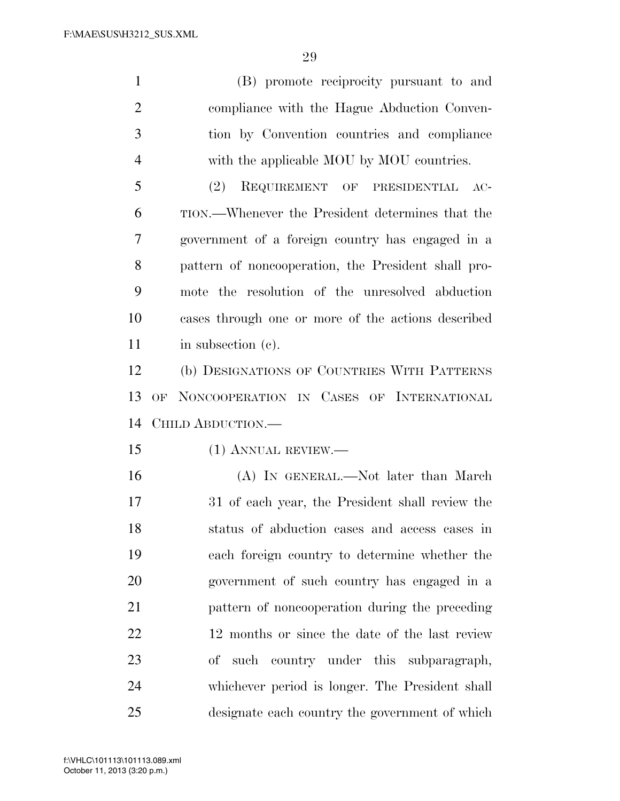(B) promote reciprocity pursuant to and compliance with the Hague Abduction Conven- tion by Convention countries and compliance with the applicable MOU by MOU countries.

 (2) REQUIREMENT OF PRESIDENTIAL AC- TION.—Whenever the President determines that the government of a foreign country has engaged in a pattern of noncooperation, the President shall pro- mote the resolution of the unresolved abduction cases through one or more of the actions described 11 in subsection (c).

 (b) DESIGNATIONS OF COUNTRIES WITH PATTERNS OF NONCOOPERATION IN CASES OF INTERNATIONAL CHILD ABDUCTION.—

(1) ANNUAL REVIEW.—

 (A) IN GENERAL.—Not later than March 31 of each year, the President shall review the status of abduction cases and access cases in each foreign country to determine whether the government of such country has engaged in a pattern of noncooperation during the preceding 22 12 months or since the date of the last review of such country under this subparagraph, whichever period is longer. The President shall designate each country the government of which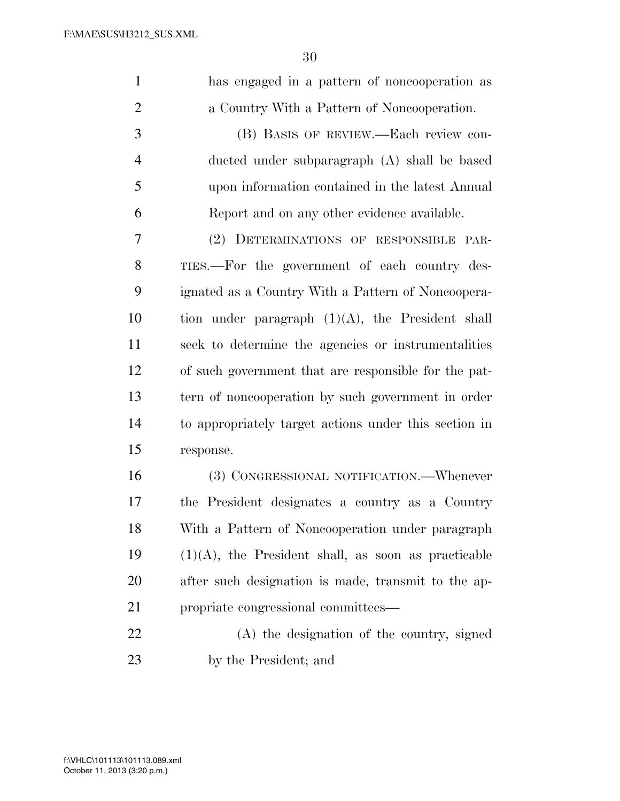has engaged in a pattern of noncooperation as a Country With a Pattern of Noncooperation. (B) BASIS OF REVIEW.—Each review con- ducted under subparagraph (A) shall be based upon information contained in the latest Annual Report and on any other evidence available. (2) DETERMINATIONS OF RESPONSIBLE PAR- TIES.—For the government of each country des- ignated as a Country With a Pattern of Noncoopera-10 tion under paragraph  $(1)(A)$ , the President shall seek to determine the agencies or instrumentalities of such government that are responsible for the pat- tern of noncooperation by such government in order to appropriately target actions under this section in response. (3) CONGRESSIONAL NOTIFICATION.—Whenever the President designates a country as a Country With a Pattern of Noncooperation under paragraph (1)(A), the President shall, as soon as practicable after such designation is made, transmit to the ap- propriate congressional committees— (A) the designation of the country, signed by the President; and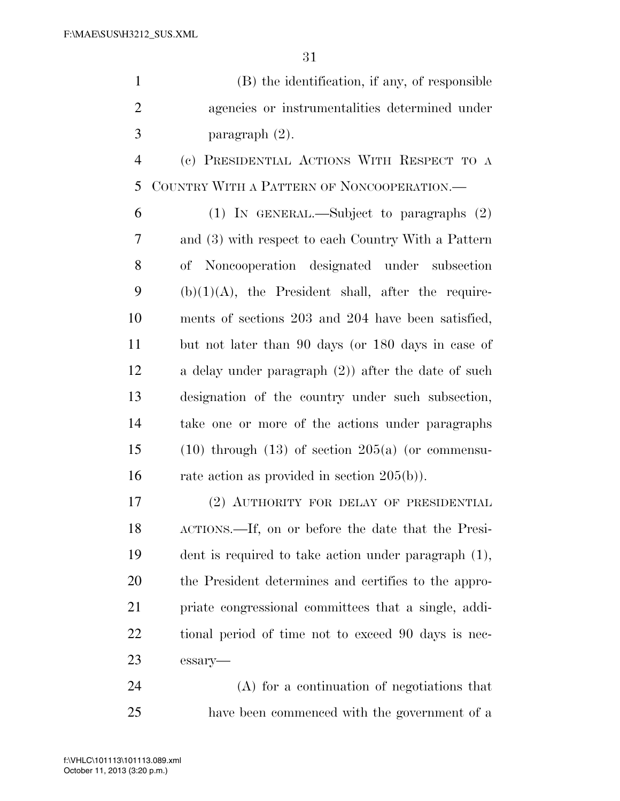| (B) the identification, if any, of responsible |
|------------------------------------------------|
| agencies or instrumentalities determined under |
| paragraph $(2)$ .                              |

 (c) PRESIDENTIAL ACTIONS WITH RESPECT TO A COUNTRY WITH A PATTERN OF NONCOOPERATION.—

 (1) IN GENERAL.—Subject to paragraphs (2) and (3) with respect to each Country With a Pattern of Noncooperation designated under subsection 9 (b) $(1)(A)$ , the President shall, after the require- ments of sections 203 and 204 have been satisfied, but not later than 90 days (or 180 days in case of a delay under paragraph (2)) after the date of such designation of the country under such subsection, take one or more of the actions under paragraphs 15 (10) through (13) of section  $205(a)$  (or commensu-16 rate action as provided in section 205(b)).

 (2) AUTHORITY FOR DELAY OF PRESIDENTIAL ACTIONS.—If, on or before the date that the Presi- dent is required to take action under paragraph (1), the President determines and certifies to the appro- priate congressional committees that a single, addi- tional period of time not to exceed 90 days is nec-essary—

 (A) for a continuation of negotiations that have been commenced with the government of a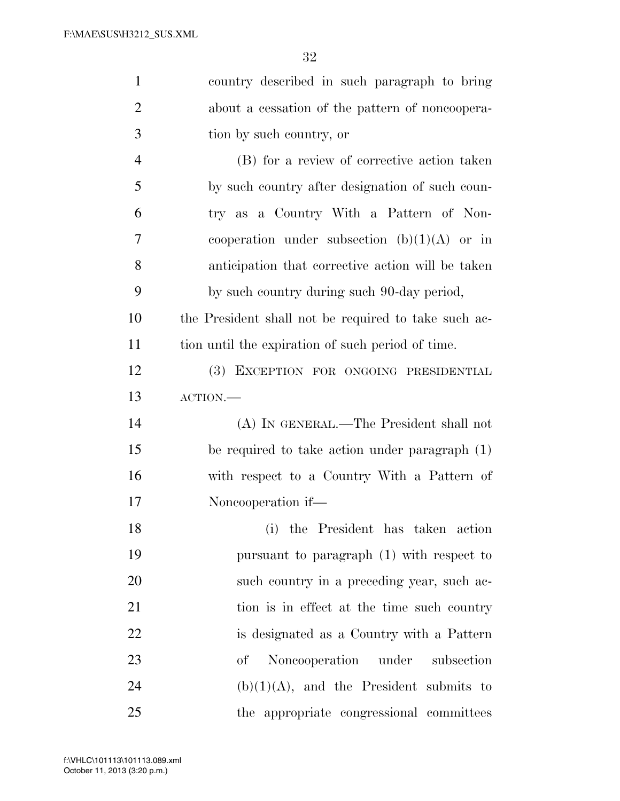| $\mathbf{1}$   | country described in such paragraph to bring         |
|----------------|------------------------------------------------------|
| $\overline{2}$ | about a cessation of the pattern of noncoopera-      |
| 3              | tion by such country, or                             |
| $\overline{4}$ | (B) for a review of corrective action taken          |
| 5              | by such country after designation of such coun-      |
| 6              | try as a Country With a Pattern of Non-              |
| 7              | cooperation under subsection $(b)(1)(A)$ or in       |
| 8              | anticipation that corrective action will be taken    |
| 9              | by such country during such 90-day period,           |
| 10             | the President shall not be required to take such ac- |
| 11             | tion until the expiration of such period of time.    |
| 12             | (3) EXCEPTION FOR ONGOING PRESIDENTIAL               |
| 13             | $\text{ACTION}$ .                                    |
| 14             | (A) IN GENERAL.—The President shall not              |
| 15             | be required to take action under paragraph (1)       |
| 16             | with respect to a Country With a Pattern of          |
| 17             | Noncooperation if—                                   |
| 18             | (i) the President has taken action                   |
| 19             | pursuant to paragraph (1) with respect to            |
| 20             | such country in a preceding year, such ac-           |
| 21             | tion is in effect at the time such country           |
| 22             | is designated as a Country with a Pattern            |
| 23             | Noncooperation under<br>subsection<br>$\sigma f$     |
| 24             | $(b)(1)(A)$ , and the President submits to           |
| 25             | the appropriate congressional committees             |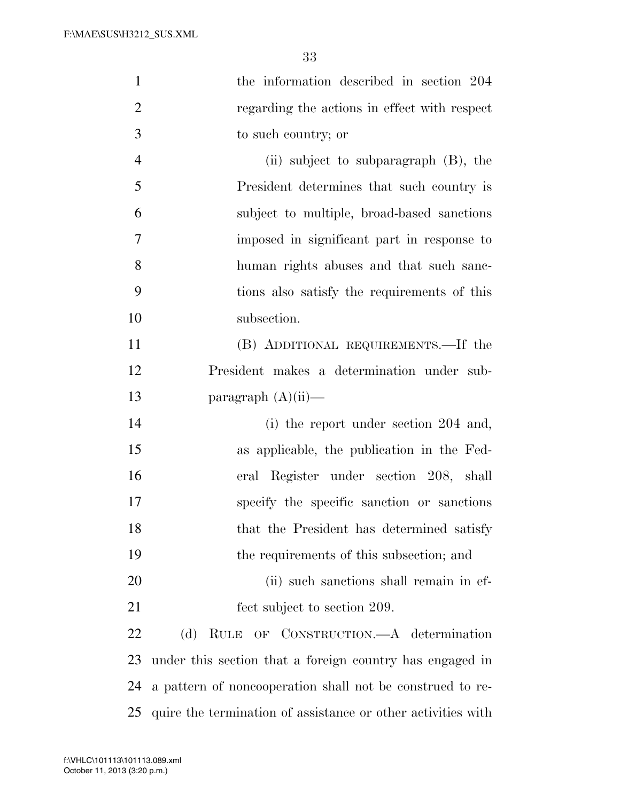| $\mathbf{1}$   | the information described in section 204                     |
|----------------|--------------------------------------------------------------|
| $\overline{2}$ | regarding the actions in effect with respect                 |
| 3              | to such country; or                                          |
| $\overline{4}$ | (ii) subject to subparagraph $(B)$ , the                     |
| 5              | President determines that such country is                    |
| 6              | subject to multiple, broad-based sanctions                   |
| 7              | imposed in significant part in response to                   |
| 8              | human rights abuses and that such sanc-                      |
| 9              | tions also satisfy the requirements of this                  |
| 10             | subsection.                                                  |
| 11             | (B) ADDITIONAL REQUIREMENTS.—If the                          |
| 12             | President makes a determination under sub-                   |
| 13             | paragraph $(A)(ii)$ —                                        |
| 14             | (i) the report under section 204 and,                        |
| 15             | as applicable, the publication in the Fed-                   |
| 16             | eral Register under section 208, shall                       |
| 17             | specify the specific sanction or sanctions                   |
| 18             | that the President has determined satisfy                    |
| 19             | the requirements of this subsection; and                     |
| 20             | (ii) such sanctions shall remain in ef-                      |
| 21             | fect subject to section 209.                                 |
| 22             | OF CONSTRUCTION.—A determination<br>(d)<br><b>RULE</b>       |
| 23             | under this section that a foreign country has engaged in     |
| 24             | a pattern of noncooperation shall not be construed to re-    |
| 25             | quire the termination of assistance or other activities with |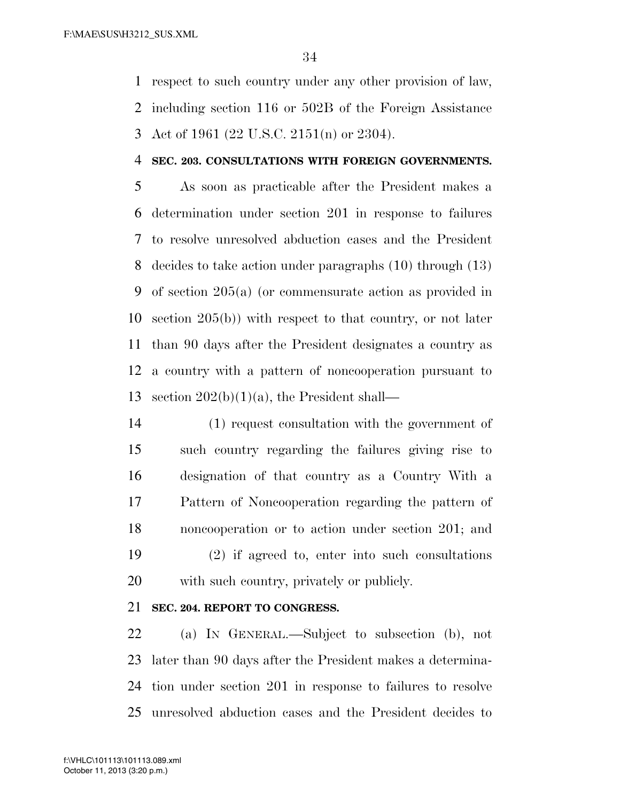respect to such country under any other provision of law, including section 116 or 502B of the Foreign Assistance Act of 1961 (22 U.S.C. 2151(n) or 2304).

#### **SEC. 203. CONSULTATIONS WITH FOREIGN GOVERNMENTS.**

 As soon as practicable after the President makes a determination under section 201 in response to failures to resolve unresolved abduction cases and the President decides to take action under paragraphs (10) through (13) of section 205(a) (or commensurate action as provided in section 205(b)) with respect to that country, or not later than 90 days after the President designates a country as a country with a pattern of noncooperation pursuant to 13 section  $202(b)(1)(a)$ , the President shall—

 (1) request consultation with the government of such country regarding the failures giving rise to designation of that country as a Country With a Pattern of Noncooperation regarding the pattern of noncooperation or to action under section 201; and (2) if agreed to, enter into such consultations with such country, privately or publicly.

# **SEC. 204. REPORT TO CONGRESS.**

 (a) IN GENERAL.—Subject to subsection (b), not later than 90 days after the President makes a determina- tion under section 201 in response to failures to resolve unresolved abduction cases and the President decides to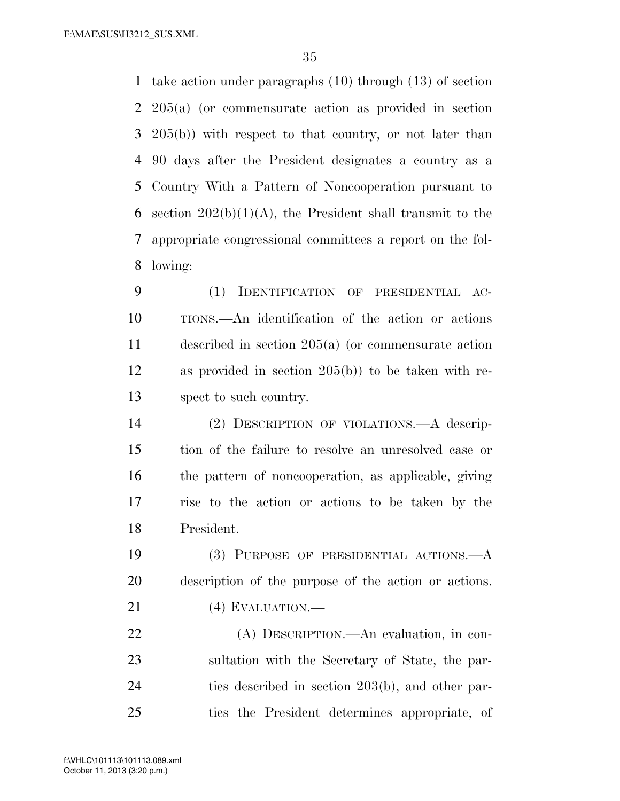take action under paragraphs (10) through (13) of section 205(a) (or commensurate action as provided in section 205(b)) with respect to that country, or not later than 90 days after the President designates a country as a Country With a Pattern of Noncooperation pursuant to 6 section  $202(b)(1)(A)$ , the President shall transmit to the appropriate congressional committees a report on the fol-lowing:

 (1) IDENTIFICATION OF PRESIDENTIAL AC- TIONS.—An identification of the action or actions described in section 205(a) (or commensurate action as provided in section 205(b)) to be taken with re-spect to such country.

 (2) DESCRIPTION OF VIOLATIONS.—A descrip- tion of the failure to resolve an unresolved case or the pattern of noncooperation, as applicable, giving rise to the action or actions to be taken by the President.

 (3) PURPOSE OF PRESIDENTIAL ACTIONS.—A description of the purpose of the action or actions.

21 (4) EVALUATION.—

 (A) DESCRIPTION.—An evaluation, in con- sultation with the Secretary of State, the par- ties described in section 203(b), and other par-ties the President determines appropriate, of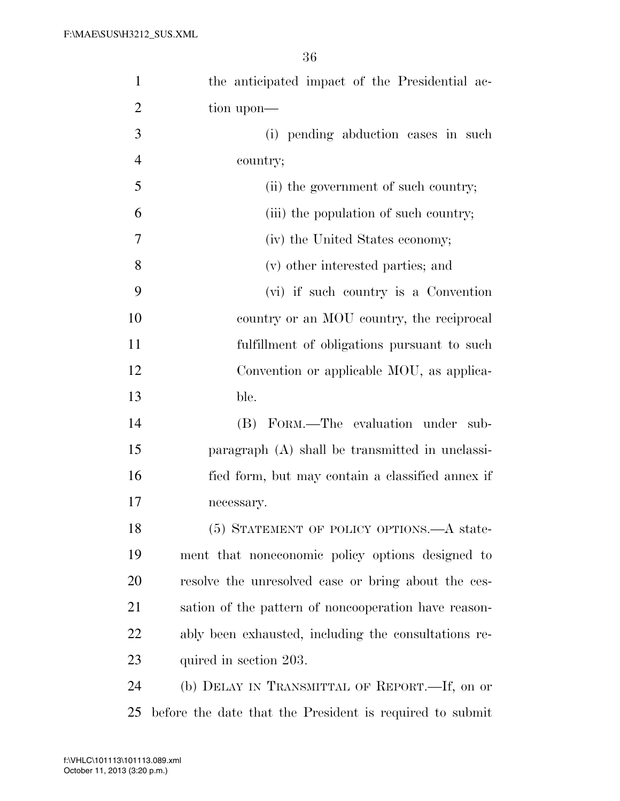| $\mathbf{1}$   | the anticipated impact of the Presidential ac-           |
|----------------|----------------------------------------------------------|
| $\overline{2}$ | tion upon—                                               |
| 3              | (i) pending abduction cases in such                      |
| $\overline{4}$ | country;                                                 |
| 5              | (ii) the government of such country;                     |
| 6              | (iii) the population of such country;                    |
| 7              | (iv) the United States economy;                          |
| 8              | (v) other interested parties; and                        |
| 9              | (vi) if such country is a Convention                     |
| 10             | country or an MOU country, the reciprocal                |
| 11             | fulfillment of obligations pursuant to such              |
| 12             | Convention or applicable MOU, as applica-                |
| 13             | ble.                                                     |
| 14             | FORM.—The evaluation under<br>(B)<br>sub-                |
| 15             | paragraph (A) shall be transmitted in unclassi-          |
| 16             | fied form, but may contain a classified annex if         |
| 17             | necessary.                                               |
| 18             | (5) STATEMENT OF POLICY OPTIONS.—A state-                |
| 19             | ment that noneconomic policy options designed to         |
| 20             | resolve the unresolved case or bring about the ces-      |
| 21             | sation of the pattern of noncooperation have reason-     |
| 22             | ably been exhausted, including the consultations re-     |
| 23             | quired in section 203.                                   |
| 24             | (b) DELAY IN TRANSMITTAL OF REPORT.—If, on or            |
| 25             | before the date that the President is required to submit |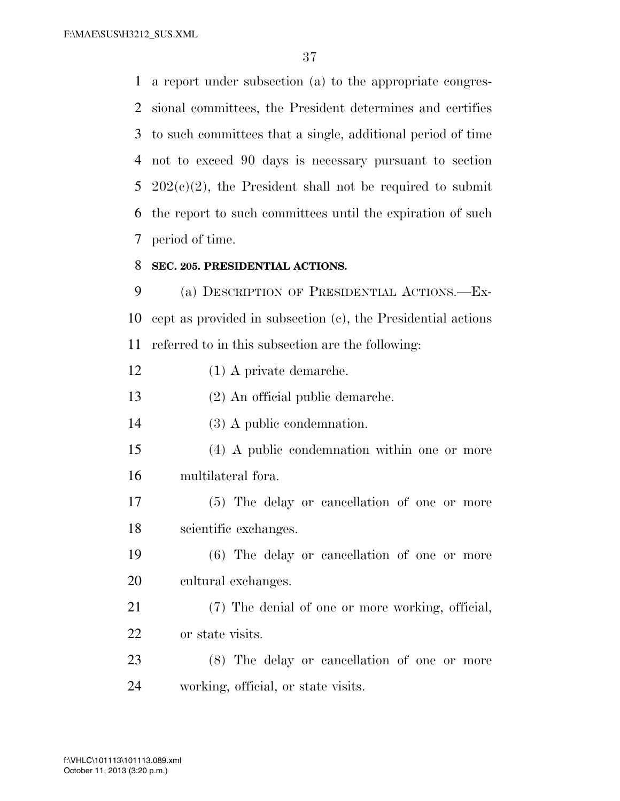F:\MAE\SUS\H3212\_SUS.XML

 a report under subsection (a) to the appropriate congres- sional committees, the President determines and certifies to such committees that a single, additional period of time not to exceed 90 days is necessary pursuant to section 5 202 $(c)(2)$ , the President shall not be required to submit the report to such committees until the expiration of such period of time.

#### **SEC. 205. PRESIDENTIAL ACTIONS.**

 (a) DESCRIPTION OF PRESIDENTIAL ACTIONS.—Ex- cept as provided in subsection (c), the Presidential actions referred to in this subsection are the following:

(1) A private demarche.

(2) An official public demarche.

(3) A public condemnation.

 (4) A public condemnation within one or more multilateral fora.

 (5) The delay or cancellation of one or more scientific exchanges.

 (6) The delay or cancellation of one or more cultural exchanges.

 (7) The denial of one or more working, official, or state visits.

 (8) The delay or cancellation of one or more working, official, or state visits.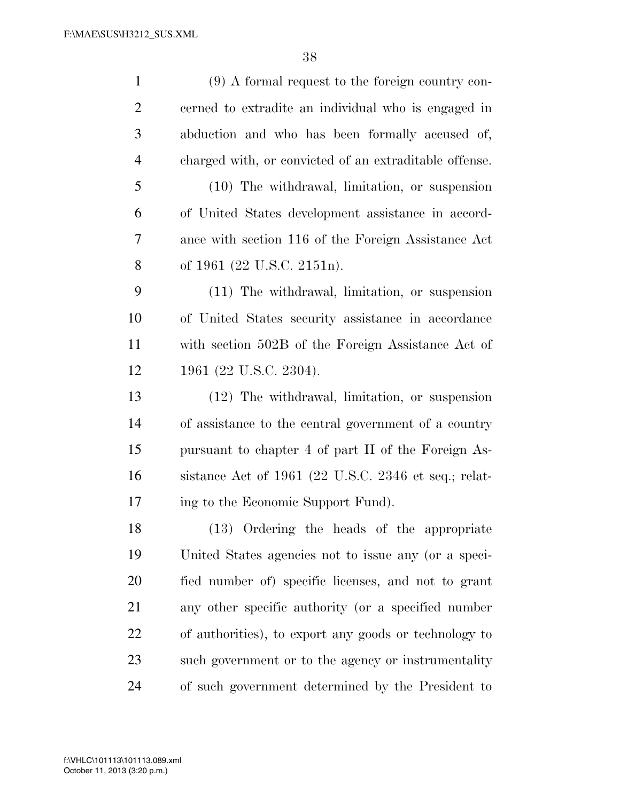| $\mathbf{1}$   | $(9)$ A formal request to the foreign country con-     |
|----------------|--------------------------------------------------------|
| $\overline{2}$ | cerned to extradite an individual who is engaged in    |
| 3              | abduction and who has been formally accused of,        |
| $\overline{4}$ | charged with, or convicted of an extraditable offense. |
| 5              | (10) The withdrawal, limitation, or suspension         |
| 6              | of United States development assistance in accord-     |
| 7              | ance with section 116 of the Foreign Assistance Act    |
| 8              | of 1961 (22 U.S.C. 2151n).                             |
| 9              | (11) The withdrawal, limitation, or suspension         |
| 10             | of United States security assistance in accordance     |
| 11             | with section 502B of the Foreign Assistance Act of     |
| 12             | 1961 (22 U.S.C. 2304).                                 |
| 13             | $(12)$ The withdrawal, limitation, or suspension       |
| 14             | of assistance to the central government of a country   |
| 15             | pursuant to chapter 4 of part II of the Foreign As-    |
| 16             | sistance Act of 1961 (22 U.S.C. 2346 et seq.; relat-   |
| 17             | ing to the Economic Support Fund).                     |
| 18             | (13) Ordering the heads of the appropriate             |
| 19             | United States agencies not to issue any (or a speci-   |
| 20             | fied number of) specific licenses, and not to grant    |
| 21             | any other specific authority (or a specified number    |
| 22             | of authorities), to export any goods or technology to  |
| 23             | such government or to the agency or instrumentality    |
| 24             | of such government determined by the President to      |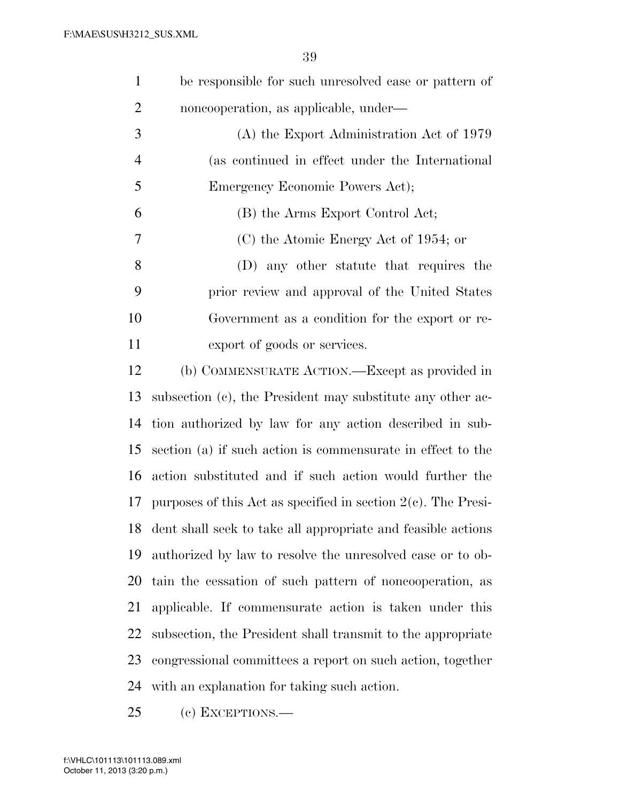| $\mathbf{1}$   | be responsible for such unresolved case or pattern of            |
|----------------|------------------------------------------------------------------|
| $\overline{2}$ | noncooperation, as applicable, under—                            |
| 3              | (A) the Export Administration Act of 1979                        |
| $\overline{4}$ | (as continued in effect under the International                  |
| 5              | Emergency Economic Powers Act);                                  |
| 6              | (B) the Arms Export Control Act;                                 |
| 7              | (C) the Atomic Energy Act of 1954; or                            |
| 8              | (D) any other statute that requires the                          |
| 9              | prior review and approval of the United States                   |
| 10             | Government as a condition for the export or re-                  |
| 11             | export of goods or services.                                     |
| 12             | (b) COMMENSURATE ACTION.—Except as provided in                   |
| 13             | subsection (c), the President may substitute any other ac-       |
| 14             | tion authorized by law for any action described in sub-          |
| 15             | section (a) if such action is commensurate in effect to the      |
| 16             | action substituted and if such action would further the          |
| 17             | purposes of this Act as specified in section $2(c)$ . The Presi- |
| 18             | dent shall seek to take all appropriate and feasible actions     |
| 19             | authorized by law to resolve the unresolved case or to ob-       |
| 20             | tain the cessation of such pattern of noncooperation, as         |
| 21             | applicable. If commensurate action is taken under this           |
| 22             | subsection, the President shall transmit to the appropriate      |
| 23             | congressional committees a report on such action, together       |
| 24             | with an explanation for taking such action.                      |

(c) EXCEPTIONS.—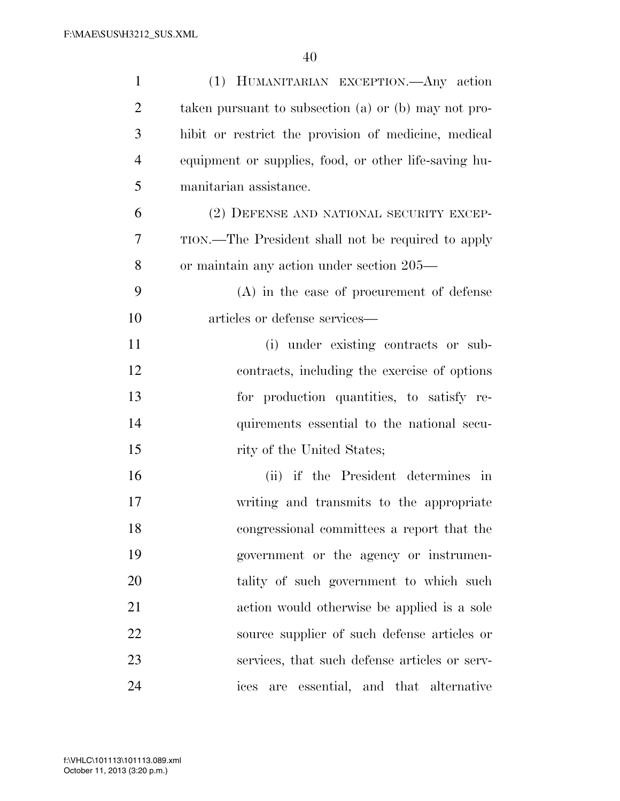| $\mathbf{1}$   | (1) HUMANITARIAN EXCEPTION. Any action                |
|----------------|-------------------------------------------------------|
| $\overline{2}$ | taken pursuant to subsection (a) or (b) may not pro-  |
| 3              | hibit or restrict the provision of medicine, medical  |
| $\overline{4}$ | equipment or supplies, food, or other life-saving hu- |
| 5              | manitarian assistance.                                |
| 6              | (2) DEFENSE AND NATIONAL SECURITY EXCEP-              |
| 7              | TION.—The President shall not be required to apply    |
| 8              | or maintain any action under section 205—             |
| 9              | $(A)$ in the case of procurement of defense           |
| 10             | articles or defense services—                         |
| 11             | (i) under existing contracts or sub-                  |
| 12             | contracts, including the exercise of options          |
| 13             | for production quantities, to satisfy re-             |
| 14             | quirements essential to the national secu-            |
| 15             | rity of the United States;                            |
| 16             | (ii) if the President determines in                   |
| 17             | writing and transmits to the appropriate              |
| 18             | congressional committees a report that the            |
| 19             | government or the agency or instrumen-                |
| 20             | tality of such government to which such               |
| 21             | action would otherwise be applied is a sole           |
| 22             | source supplier of such defense articles or           |
| 23             | services, that such defense articles or serv-         |
| 24             | are essential, and that alternative<br>ices           |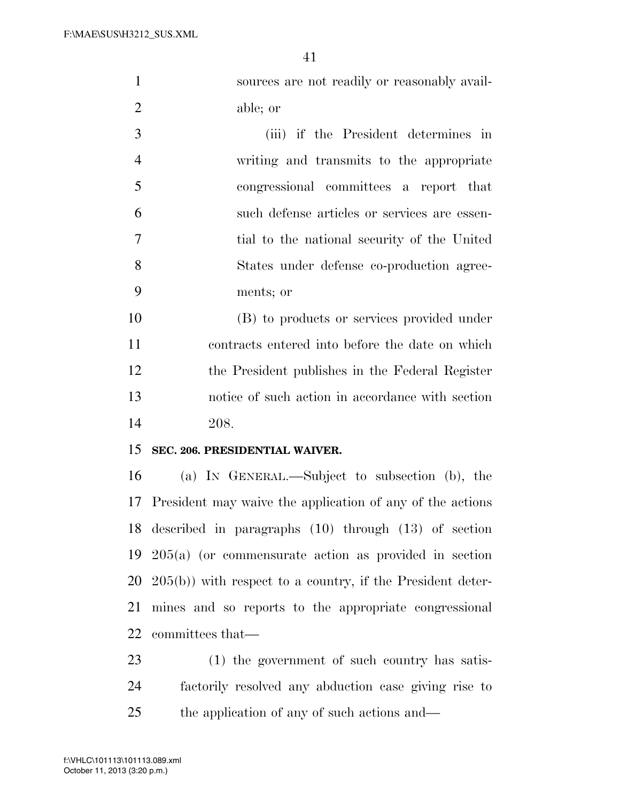| 1              | sources are not readily or reasonably avail- |
|----------------|----------------------------------------------|
| 2              | able; or                                     |
| 3              | (iii) if the President determines in         |
| $\overline{4}$ | writing and transmits to the appropriate     |
| 5              | congressional committees a report that       |
| 6              | such defense articles or services are essen- |
| 7              | tial to the national security of the United  |
| 8              | States under defense co-production agree-    |
| 9              | ments; or                                    |

 (B) to products or services provided under contracts entered into before the date on which the President publishes in the Federal Register notice of such action in accordance with section 208.

## **SEC. 206. PRESIDENTIAL WAIVER.**

 (a) IN GENERAL.—Subject to subsection (b), the President may waive the application of any of the actions described in paragraphs (10) through (13) of section 205(a) (or commensurate action as provided in section 205(b)) with respect to a country, if the President deter- mines and so reports to the appropriate congressional committees that—

 (1) the government of such country has satis- factorily resolved any abduction case giving rise to the application of any of such actions and—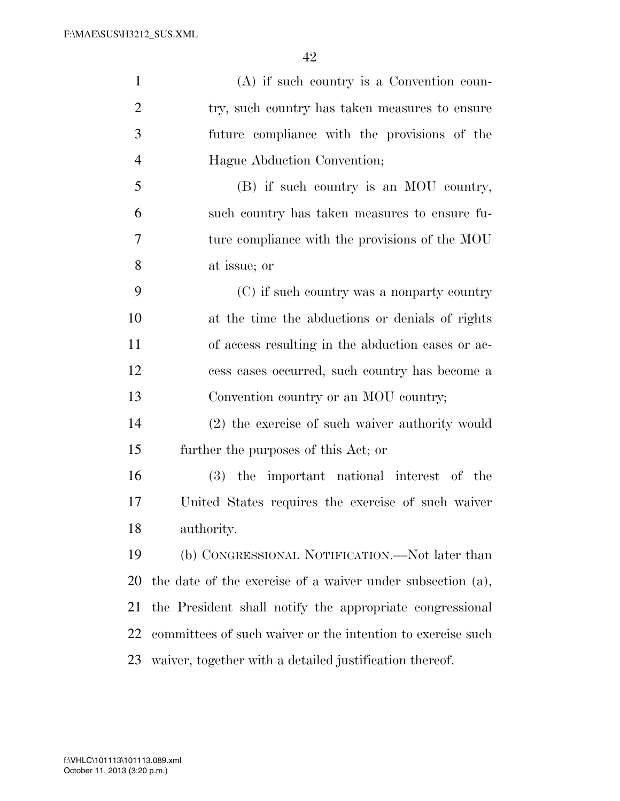| $\mathbf{1}$   | $(A)$ if such country is a Convention coun-                 |
|----------------|-------------------------------------------------------------|
| $\overline{2}$ | try, such country has taken measures to ensure              |
| 3              | future compliance with the provisions of the                |
| $\overline{4}$ | Hague Abduction Convention;                                 |
| 5              | (B) if such country is an MOU country,                      |
| 6              | such country has taken measures to ensure fu-               |
| 7              | ture compliance with the provisions of the MOU              |
| 8              | at issue; or                                                |
| 9              | (C) if such country was a nonparty country                  |
| 10             | at the time the abductions or denials of rights             |
| 11             | of access resulting in the abduction cases or ac-           |
| 12             | cess cases occurred, such country has become a              |
| 13             | Convention country or an MOU country;                       |
| 14             | (2) the exercise of such waiver authority would             |
| 15             | further the purposes of this Act; or                        |
| 16             | (3) the important national interest of the                  |
| 17             | United States requires the exercise of such waiver          |
| 18             | authority.                                                  |
| 19             | (b) CONGRESSIONAL NOTIFICATION.—Not later than              |
| 20             | the date of the exercise of a waiver under subsection (a),  |
| 21             | the President shall notify the appropriate congressional    |
| 22             | committees of such waiver or the intention to exercise such |
| 23             | waiver, together with a detailed justification thereof.     |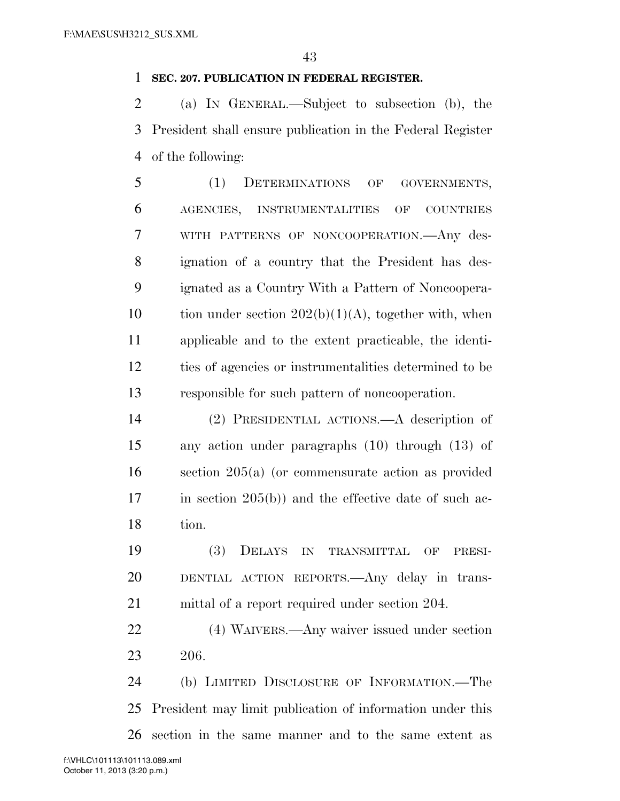#### **SEC. 207. PUBLICATION IN FEDERAL REGISTER.**

 (a) IN GENERAL.—Subject to subsection (b), the President shall ensure publication in the Federal Register of the following:

 (1) DETERMINATIONS OF GOVERNMENTS, AGENCIES, INSTRUMENTALITIES OF COUNTRIES WITH PATTERNS OF NONCOOPERATION.—Any des- ignation of a country that the President has des- ignated as a Country With a Pattern of Noncoopera-10 tion under section  $202(b)(1)(A)$ , together with, when applicable and to the extent practicable, the identi- ties of agencies or instrumentalities determined to be responsible for such pattern of noncooperation.

 (2) PRESIDENTIAL ACTIONS.—A description of any action under paragraphs (10) through (13) of section 205(a) (or commensurate action as provided 17 in section 205(b)) and the effective date of such ac-tion.

 (3) DELAYS IN TRANSMITTAL OF PRESI- DENTIAL ACTION REPORTS.—Any delay in trans-mittal of a report required under section 204.

 (4) WAIVERS.—Any waiver issued under section 206.

 (b) LIMITED DISCLOSURE OF INFORMATION.—The President may limit publication of information under this section in the same manner and to the same extent as